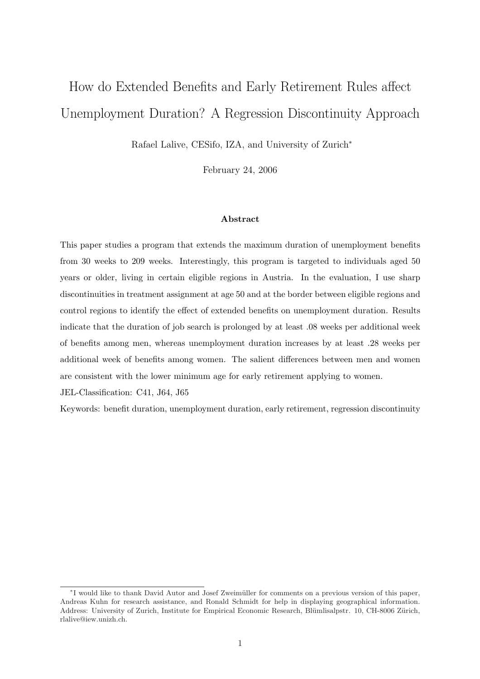# How do Extended Benefits and Early Retirement Rules affect Unemployment Duration? A Regression Discontinuity Approach

Rafael Lalive, CESifo, IZA, and University of Zurich<sup>∗</sup>

February 24, 2006

#### Abstract

This paper studies a program that extends the maximum duration of unemployment benefits from 30 weeks to 209 weeks. Interestingly, this program is targeted to individuals aged 50 years or older, living in certain eligible regions in Austria. In the evaluation, I use sharp discontinuities in treatment assignment at age 50 and at the border between eligible regions and control regions to identify the effect of extended benefits on unemployment duration. Results indicate that the duration of job search is prolonged by at least .08 weeks per additional week of benefits among men, whereas unemployment duration increases by at least .28 weeks per additional week of benefits among women. The salient differences between men and women are consistent with the lower minimum age for early retirement applying to women.

JEL-Classification: C41, J64, J65

Keywords: benefit duration, unemployment duration, early retirement, regression discontinuity

<sup>∗</sup> I would like to thank David Autor and Josef Zweim¨uller for comments on a previous version of this paper, Andreas Kuhn for research assistance, and Ronald Schmidt for help in displaying geographical information. Address: University of Zurich, Institute for Empirical Economic Research, Blümlisalpstr. 10, CH-8006 Zürich, rlalive@iew.unizh.ch.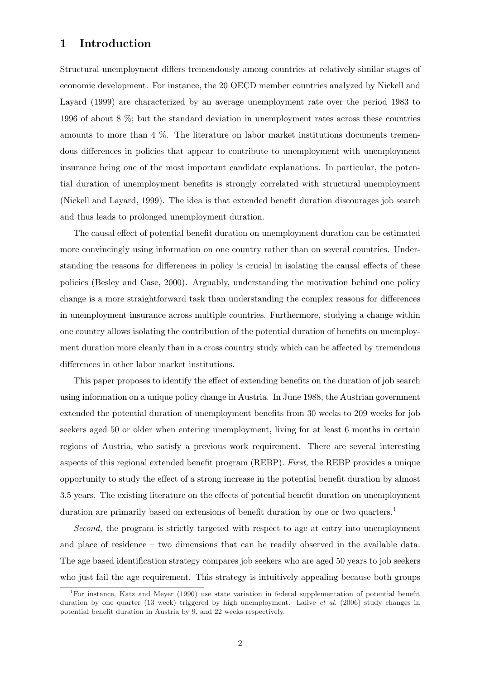## 1 Introduction

Structural unemployment differs tremendously among countries at relatively similar stages of economic development. For instance, the 20 OECD member countries analyzed by Nickell and Layard (1999) are characterized by an average unemployment rate over the period 1983 to 1996 of about 8 %; but the standard deviation in unemployment rates across these countries amounts to more than 4 %. The literature on labor market institutions documents tremendous differences in policies that appear to contribute to unemployment with unemployment insurance being one of the most important candidate explanations. In particular, the potential duration of unemployment benefits is strongly correlated with structural unemployment (Nickell and Layard, 1999). The idea is that extended benefit duration discourages job search and thus leads to prolonged unemployment duration.

The causal effect of potential benefit duration on unemployment duration can be estimated more convincingly using information on one country rather than on several countries. Understanding the reasons for differences in policy is crucial in isolating the causal effects of these policies (Besley and Case, 2000). Arguably, understanding the motivation behind one policy change is a more straightforward task than understanding the complex reasons for differences in unemployment insurance across multiple countries. Furthermore, studying a change within one country allows isolating the contribution of the potential duration of benefits on unemployment duration more cleanly than in a cross country study which can be affected by tremendous differences in other labor market institutions.

This paper proposes to identify the effect of extending benefits on the duration of job search using information on a unique policy change in Austria. In June 1988, the Austrian government extended the potential duration of unemployment benefits from 30 weeks to 209 weeks for job seekers aged 50 or older when entering unemployment, living for at least 6 months in certain regions of Austria, who satisfy a previous work requirement. There are several interesting aspects of this regional extended benefit program (REBP). First, the REBP provides a unique opportunity to study the effect of a strong increase in the potential benefit duration by almost 3.5 years. The existing literature on the effects of potential benefit duration on unemployment duration are primarily based on extensions of benefit duration by one or two quarters.<sup>1</sup>

Second, the program is strictly targeted with respect to age at entry into unemployment and place of residence – two dimensions that can be readily observed in the available data. The age based identification strategy compares job seekers who are aged 50 years to job seekers who just fail the age requirement. This strategy is intuitively appealing because both groups

<sup>1</sup>For instance, Katz and Meyer (1990) use state variation in federal supplementation of potential benefit duration by one quarter (13 week) triggered by high unemployment. Lalive *et al.* (2006) study changes in potential benefit duration in Austria by 9, and 22 weeks respectively.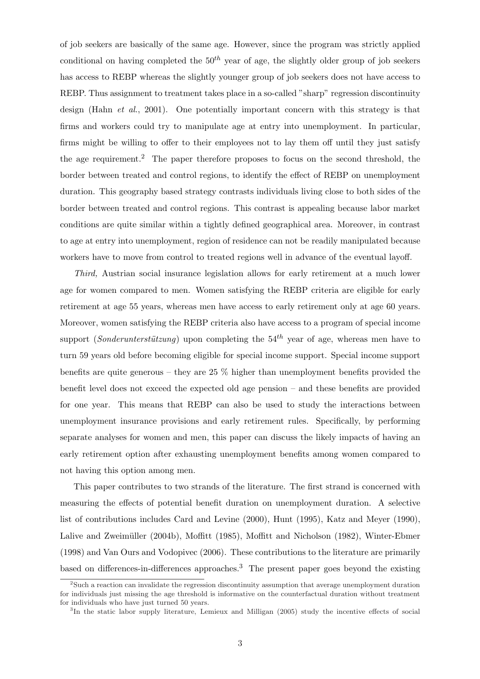of job seekers are basically of the same age. However, since the program was strictly applied conditional on having completed the  $50<sup>th</sup>$  year of age, the slightly older group of job seekers has access to REBP whereas the slightly younger group of job seekers does not have access to REBP. Thus assignment to treatment takes place in a so-called "sharp" regression discontinuity design (Hahn *et al.*, 2001). One potentially important concern with this strategy is that firms and workers could try to manipulate age at entry into unemployment. In particular, firms might be willing to offer to their employees not to lay them off until they just satisfy the age requirement.<sup>2</sup> The paper therefore proposes to focus on the second threshold, the border between treated and control regions, to identify the effect of REBP on unemployment duration. This geography based strategy contrasts individuals living close to both sides of the border between treated and control regions. This contrast is appealing because labor market conditions are quite similar within a tightly defined geographical area. Moreover, in contrast to age at entry into unemployment, region of residence can not be readily manipulated because workers have to move from control to treated regions well in advance of the eventual layoff.

Third, Austrian social insurance legislation allows for early retirement at a much lower age for women compared to men. Women satisfying the REBP criteria are eligible for early retirement at age 55 years, whereas men have access to early retirement only at age 60 years. Moreover, women satisfying the REBP criteria also have access to a program of special income support (*Sonderunterstützung*) upon completing the  $54<sup>th</sup>$  year of age, whereas men have to turn 59 years old before becoming eligible for special income support. Special income support benefits are quite generous – they are  $25\%$  higher than unemployment benefits provided the benefit level does not exceed the expected old age pension – and these benefits are provided for one year. This means that REBP can also be used to study the interactions between unemployment insurance provisions and early retirement rules. Specifically, by performing separate analyses for women and men, this paper can discuss the likely impacts of having an early retirement option after exhausting unemployment benefits among women compared to not having this option among men.

This paper contributes to two strands of the literature. The first strand is concerned with measuring the effects of potential benefit duration on unemployment duration. A selective list of contributions includes Card and Levine (2000), Hunt (1995), Katz and Meyer (1990), Lalive and Zweimüller (2004b), Moffitt (1985), Moffitt and Nicholson (1982), Winter-Ebmer (1998) and Van Ours and Vodopivec (2006). These contributions to the literature are primarily based on differences-in-differences approaches.<sup>3</sup> The present paper goes beyond the existing

<sup>&</sup>lt;sup>2</sup>Such a reaction can invalidate the regression discontinuity assumption that average unemployment duration for individuals just missing the age threshold is informative on the counterfactual duration without treatment for individuals who have just turned 50 years.

<sup>&</sup>lt;sup>3</sup>In the static labor supply literature, Lemieux and Milligan (2005) study the incentive effects of social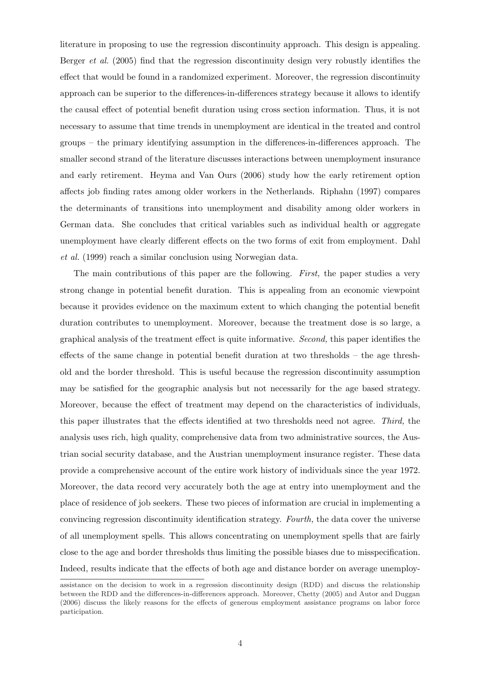literature in proposing to use the regression discontinuity approach. This design is appealing. Berger *et al.* (2005) find that the regression discontinuity design very robustly identifies the effect that would be found in a randomized experiment. Moreover, the regression discontinuity approach can be superior to the differences-in-differences strategy because it allows to identify the causal effect of potential benefit duration using cross section information. Thus, it is not necessary to assume that time trends in unemployment are identical in the treated and control groups – the primary identifying assumption in the differences-in-differences approach. The smaller second strand of the literature discusses interactions between unemployment insurance and early retirement. Heyma and Van Ours (2006) study how the early retirement option affects job finding rates among older workers in the Netherlands. Riphahn (1997) compares the determinants of transitions into unemployment and disability among older workers in German data. She concludes that critical variables such as individual health or aggregate unemployment have clearly different effects on the two forms of exit from employment. Dahl et al. (1999) reach a similar conclusion using Norwegian data.

The main contributions of this paper are the following. First, the paper studies a very strong change in potential benefit duration. This is appealing from an economic viewpoint because it provides evidence on the maximum extent to which changing the potential benefit duration contributes to unemployment. Moreover, because the treatment dose is so large, a graphical analysis of the treatment effect is quite informative. Second, this paper identifies the effects of the same change in potential benefit duration at two thresholds – the age threshold and the border threshold. This is useful because the regression discontinuity assumption may be satisfied for the geographic analysis but not necessarily for the age based strategy. Moreover, because the effect of treatment may depend on the characteristics of individuals, this paper illustrates that the effects identified at two thresholds need not agree. Third, the analysis uses rich, high quality, comprehensive data from two administrative sources, the Austrian social security database, and the Austrian unemployment insurance register. These data provide a comprehensive account of the entire work history of individuals since the year 1972. Moreover, the data record very accurately both the age at entry into unemployment and the place of residence of job seekers. These two pieces of information are crucial in implementing a convincing regression discontinuity identification strategy. Fourth, the data cover the universe of all unemployment spells. This allows concentrating on unemployment spells that are fairly close to the age and border thresholds thus limiting the possible biases due to misspecification. Indeed, results indicate that the effects of both age and distance border on average unemploy-

assistance on the decision to work in a regression discontinuity design (RDD) and discuss the relationship between the RDD and the differences-in-differences approach. Moreover, Chetty (2005) and Autor and Duggan (2006) discuss the likely reasons for the effects of generous employment assistance programs on labor force participation.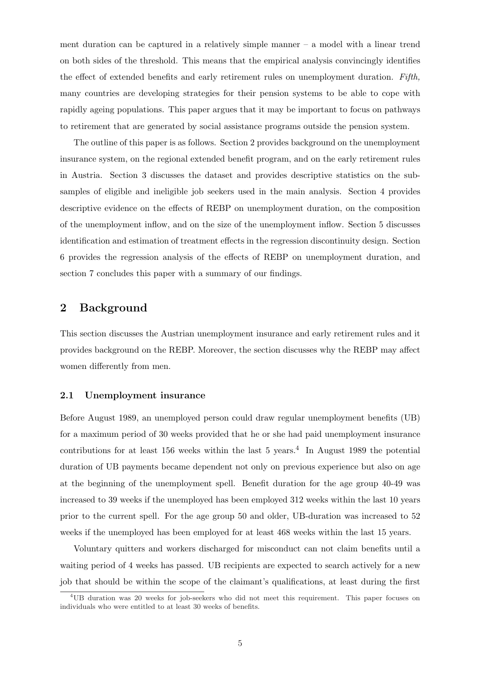ment duration can be captured in a relatively simple manner  $-$  a model with a linear trend on both sides of the threshold. This means that the empirical analysis convincingly identifies the effect of extended benefits and early retirement rules on unemployment duration. Fifth, many countries are developing strategies for their pension systems to be able to cope with rapidly ageing populations. This paper argues that it may be important to focus on pathways to retirement that are generated by social assistance programs outside the pension system.

The outline of this paper is as follows. Section 2 provides background on the unemployment insurance system, on the regional extended benefit program, and on the early retirement rules in Austria. Section 3 discusses the dataset and provides descriptive statistics on the subsamples of eligible and ineligible job seekers used in the main analysis. Section 4 provides descriptive evidence on the effects of REBP on unemployment duration, on the composition of the unemployment inflow, and on the size of the unemployment inflow. Section 5 discusses identification and estimation of treatment effects in the regression discontinuity design. Section 6 provides the regression analysis of the effects of REBP on unemployment duration, and section 7 concludes this paper with a summary of our findings.

## 2 Background

This section discusses the Austrian unemployment insurance and early retirement rules and it provides background on the REBP. Moreover, the section discusses why the REBP may affect women differently from men.

#### 2.1 Unemployment insurance

Before August 1989, an unemployed person could draw regular unemployment benefits (UB) for a maximum period of 30 weeks provided that he or she had paid unemployment insurance contributions for at least 156 weeks within the last 5 years.<sup>4</sup> In August 1989 the potential duration of UB payments became dependent not only on previous experience but also on age at the beginning of the unemployment spell. Benefit duration for the age group 40-49 was increased to 39 weeks if the unemployed has been employed 312 weeks within the last 10 years prior to the current spell. For the age group 50 and older, UB-duration was increased to 52 weeks if the unemployed has been employed for at least 468 weeks within the last 15 years.

Voluntary quitters and workers discharged for misconduct can not claim benefits until a waiting period of 4 weeks has passed. UB recipients are expected to search actively for a new job that should be within the scope of the claimant's qualifications, at least during the first

<sup>4</sup>UB duration was 20 weeks for job-seekers who did not meet this requirement. This paper focuses on individuals who were entitled to at least 30 weeks of benefits.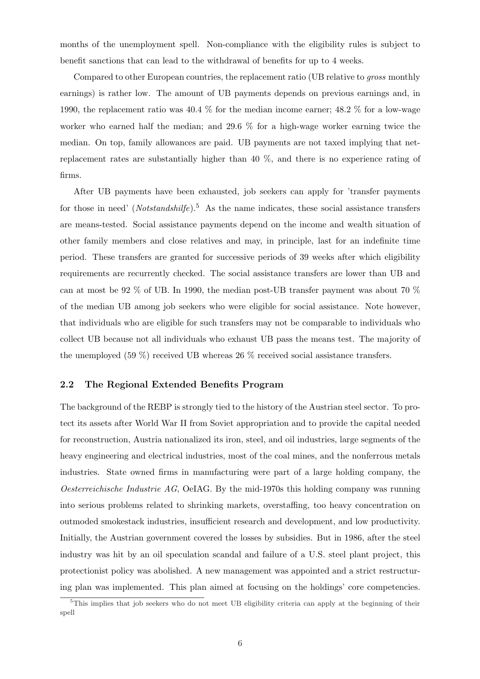months of the unemployment spell. Non-compliance with the eligibility rules is subject to benefit sanctions that can lead to the withdrawal of benefits for up to 4 weeks.

Compared to other European countries, the replacement ratio (UB relative to *gross* monthly earnings) is rather low. The amount of UB payments depends on previous earnings and, in 1990, the replacement ratio was 40.4 % for the median income earner; 48.2 % for a low-wage worker who earned half the median; and 29.6 % for a high-wage worker earning twice the median. On top, family allowances are paid. UB payments are not taxed implying that netreplacement rates are substantially higher than 40 %, and there is no experience rating of firms.

After UB payments have been exhausted, job seekers can apply for 'transfer payments for those in need' (Notstandshilfe).<sup>5</sup> As the name indicates, these social assistance transfers are means-tested. Social assistance payments depend on the income and wealth situation of other family members and close relatives and may, in principle, last for an indefinite time period. These transfers are granted for successive periods of 39 weeks after which eligibility requirements are recurrently checked. The social assistance transfers are lower than UB and can at most be 92 % of UB. In 1990, the median post-UB transfer payment was about 70 % of the median UB among job seekers who were eligible for social assistance. Note however, that individuals who are eligible for such transfers may not be comparable to individuals who collect UB because not all individuals who exhaust UB pass the means test. The majority of the unemployed (59 %) received UB whereas 26 % received social assistance transfers.

### 2.2 The Regional Extended Benefits Program

The background of the REBP is strongly tied to the history of the Austrian steel sector. To protect its assets after World War II from Soviet appropriation and to provide the capital needed for reconstruction, Austria nationalized its iron, steel, and oil industries, large segments of the heavy engineering and electrical industries, most of the coal mines, and the nonferrous metals industries. State owned firms in manufacturing were part of a large holding company, the *Oesterreichische Industrie AG*, OeIAG. By the mid-1970s this holding company was running into serious problems related to shrinking markets, overstaffing, too heavy concentration on outmoded smokestack industries, insufficient research and development, and low productivity. Initially, the Austrian government covered the losses by subsidies. But in 1986, after the steel industry was hit by an oil speculation scandal and failure of a U.S. steel plant project, this protectionist policy was abolished. A new management was appointed and a strict restructuring plan was implemented. This plan aimed at focusing on the holdings' core competencies.

<sup>5</sup>This implies that job seekers who do not meet UB eligibility criteria can apply at the beginning of their spell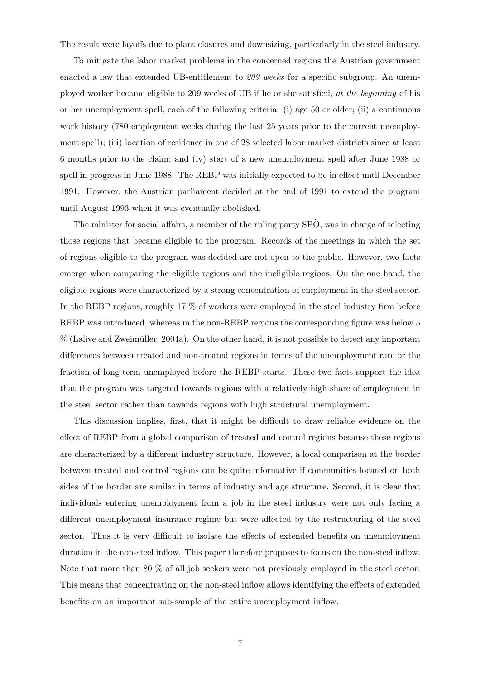The result were layoffs due to plant closures and downsizing, particularly in the steel industry.

To mitigate the labor market problems in the concerned regions the Austrian government enacted a law that extended UB-entitlement to 209 weeks for a specific subgroup. An unemployed worker became eligible to 209 weeks of UB if he or she satisfied, at the beginning of his or her unemployment spell, each of the following criteria: (i) age 50 or older; (ii) a continuous work history (780 employment weeks during the last 25 years prior to the current unemployment spell); (iii) location of residence in one of 28 selected labor market districts since at least 6 months prior to the claim; and (iv) start of a new unemployment spell after June 1988 or spell in progress in June 1988. The REBP was initially expected to be in effect until December 1991. However, the Austrian parliament decided at the end of 1991 to extend the program until August 1993 when it was eventually abolished.

The minister for social affairs, a member of the ruling party  $SP\ddot{O}$ , was in charge of selecting those regions that became eligible to the program. Records of the meetings in which the set of regions eligible to the program was decided are not open to the public. However, two facts emerge when comparing the eligible regions and the ineligible regions. On the one hand, the eligible regions were characterized by a strong concentration of employment in the steel sector. In the REBP regions, roughly 17 % of workers were employed in the steel industry firm before REBP was introduced, whereas in the non-REBP regions the corresponding figure was below 5  $%$  (Lalive and Zweimüller, 2004a). On the other hand, it is not possible to detect any important differences between treated and non-treated regions in terms of the unemployment rate or the fraction of long-term unemployed before the REBP starts. These two facts support the idea that the program was targeted towards regions with a relatively high share of employment in the steel sector rather than towards regions with high structural unemployment.

This discussion implies, first, that it might be difficult to draw reliable evidence on the effect of REBP from a global comparison of treated and control regions because these regions are characterized by a different industry structure. However, a local comparison at the border between treated and control regions can be quite informative if communities located on both sides of the border are similar in terms of industry and age structure. Second, it is clear that individuals entering unemployment from a job in the steel industry were not only facing a different unemployment insurance regime but were affected by the restructuring of the steel sector. Thus it is very difficult to isolate the effects of extended benefits on unemployment duration in the non-steel inflow. This paper therefore proposes to focus on the non-steel inflow. Note that more than 80 % of all job seekers were not previously employed in the steel sector. This means that concentrating on the non-steel inflow allows identifying the effects of extended benefits on an important sub-sample of the entire unemployment inflow.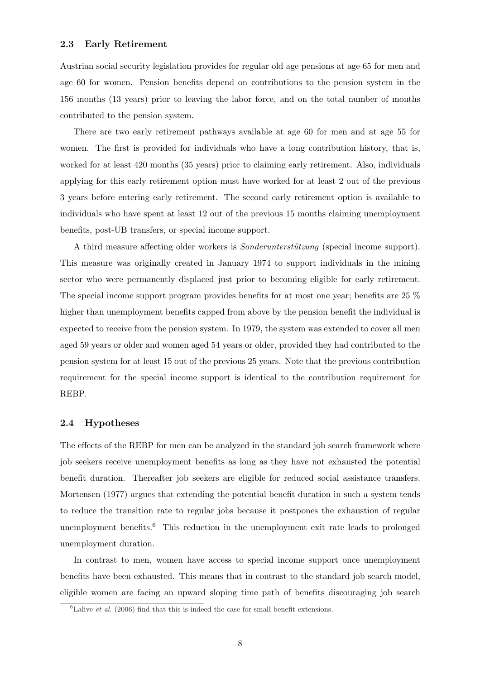Austrian social security legislation provides for regular old age pensions at age 65 for men and age 60 for women. Pension benefits depend on contributions to the pension system in the 156 months (13 years) prior to leaving the labor force, and on the total number of months contributed to the pension system.

There are two early retirement pathways available at age 60 for men and at age 55 for women. The first is provided for individuals who have a long contribution history, that is, worked for at least 420 months (35 years) prior to claiming early retirement. Also, individuals applying for this early retirement option must have worked for at least 2 out of the previous 3 years before entering early retirement. The second early retirement option is available to individuals who have spent at least 12 out of the previous 15 months claiming unemployment benefits, post-UB transfers, or special income support.

A third measure affecting older workers is *Sonderunterstützung* (special income support). This measure was originally created in January 1974 to support individuals in the mining sector who were permanently displaced just prior to becoming eligible for early retirement. The special income support program provides benefits for at most one year; benefits are 25 % higher than unemployment benefits capped from above by the pension benefit the individual is expected to receive from the pension system. In 1979, the system was extended to cover all men aged 59 years or older and women aged 54 years or older, provided they had contributed to the pension system for at least 15 out of the previous 25 years. Note that the previous contribution requirement for the special income support is identical to the contribution requirement for REBP.

#### 2.4 Hypotheses

The effects of the REBP for men can be analyzed in the standard job search framework where job seekers receive unemployment benefits as long as they have not exhausted the potential benefit duration. Thereafter job seekers are eligible for reduced social assistance transfers. Mortensen (1977) argues that extending the potential benefit duration in such a system tends to reduce the transition rate to regular jobs because it postpones the exhaustion of regular unemployment benefits.<sup>6</sup> This reduction in the unemployment exit rate leads to prolonged unemployment duration.

In contrast to men, women have access to special income support once unemployment benefits have been exhausted. This means that in contrast to the standard job search model, eligible women are facing an upward sloping time path of benefits discouraging job search

 ${}^{6}$ Lalive *et al.* (2006) find that this is indeed the case for small benefit extensions.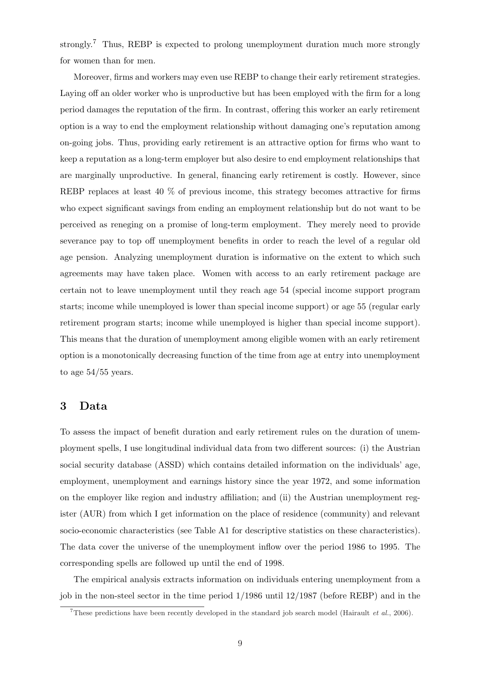strongly.<sup>7</sup> Thus, REBP is expected to prolong unemployment duration much more strongly for women than for men.

Moreover, firms and workers may even use REBP to change their early retirement strategies. Laying off an older worker who is unproductive but has been employed with the firm for a long period damages the reputation of the firm. In contrast, offering this worker an early retirement option is a way to end the employment relationship without damaging one's reputation among on-going jobs. Thus, providing early retirement is an attractive option for firms who want to keep a reputation as a long-term employer but also desire to end employment relationships that are marginally unproductive. In general, financing early retirement is costly. However, since REBP replaces at least 40 % of previous income, this strategy becomes attractive for firms who expect significant savings from ending an employment relationship but do not want to be perceived as reneging on a promise of long-term employment. They merely need to provide severance pay to top off unemployment benefits in order to reach the level of a regular old age pension. Analyzing unemployment duration is informative on the extent to which such agreements may have taken place. Women with access to an early retirement package are certain not to leave unemployment until they reach age 54 (special income support program starts; income while unemployed is lower than special income support) or age 55 (regular early retirement program starts; income while unemployed is higher than special income support). This means that the duration of unemployment among eligible women with an early retirement option is a monotonically decreasing function of the time from age at entry into unemployment to age 54/55 years.

## 3 Data

To assess the impact of benefit duration and early retirement rules on the duration of unemployment spells, I use longitudinal individual data from two different sources: (i) the Austrian social security database (ASSD) which contains detailed information on the individuals' age, employment, unemployment and earnings history since the year 1972, and some information on the employer like region and industry affiliation; and (ii) the Austrian unemployment register (AUR) from which I get information on the place of residence (community) and relevant socio-economic characteristics (see Table A1 for descriptive statistics on these characteristics). The data cover the universe of the unemployment inflow over the period 1986 to 1995. The corresponding spells are followed up until the end of 1998.

The empirical analysis extracts information on individuals entering unemployment from a job in the non-steel sector in the time period 1/1986 until 12/1987 (before REBP) and in the

<sup>&</sup>lt;sup>7</sup>These predictions have been recently developed in the standard job search model (Hairault *et al.*, 2006).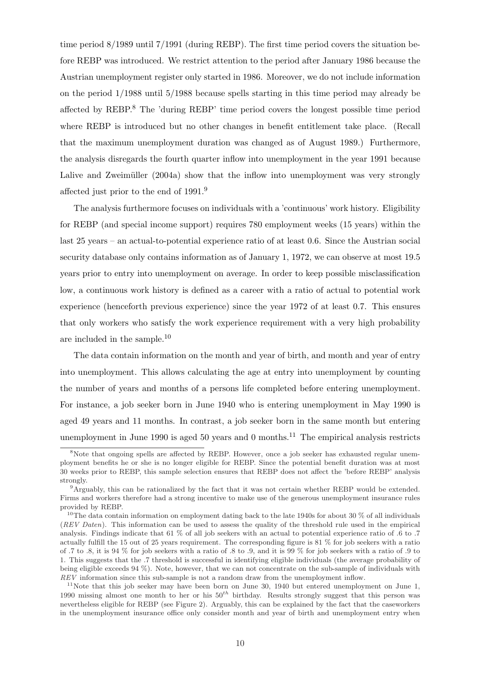time period 8/1989 until 7/1991 (during REBP). The first time period covers the situation before REBP was introduced. We restrict attention to the period after January 1986 because the Austrian unemployment register only started in 1986. Moreover, we do not include information on the period 1/1988 until 5/1988 because spells starting in this time period may already be affected by  $REBP$ <sup>8</sup>. The 'during  $REBP$ ' time period covers the longest possible time period where REBP is introduced but no other changes in benefit entitlement take place. (Recall that the maximum unemployment duration was changed as of August 1989.) Furthermore, the analysis disregards the fourth quarter inflow into unemployment in the year 1991 because Lalive and Zweimüller (2004a) show that the inflow into unemployment was very strongly affected just prior to the end of 1991.<sup>9</sup>

The analysis furthermore focuses on individuals with a 'continuous' work history. Eligibility for REBP (and special income support) requires 780 employment weeks (15 years) within the last 25 years – an actual-to-potential experience ratio of at least 0.6. Since the Austrian social security database only contains information as of January 1, 1972, we can observe at most 19.5 years prior to entry into unemployment on average. In order to keep possible misclassification low, a continuous work history is defined as a career with a ratio of actual to potential work experience (henceforth previous experience) since the year 1972 of at least 0.7. This ensures that only workers who satisfy the work experience requirement with a very high probability are included in the sample.<sup>10</sup>

The data contain information on the month and year of birth, and month and year of entry into unemployment. This allows calculating the age at entry into unemployment by counting the number of years and months of a persons life completed before entering unemployment. For instance, a job seeker born in June 1940 who is entering unemployment in May 1990 is aged 49 years and 11 months. In contrast, a job seeker born in the same month but entering unemployment in June 1990 is aged 50 years and 0 months.<sup>11</sup> The empirical analysis restricts

<sup>&</sup>lt;sup>8</sup>Note that ongoing spells are affected by REBP. However, once a job seeker has exhausted regular unemployment benefits he or she is no longer eligible for REBP. Since the potential benefit duration was at most 30 weeks prior to REBP, this sample selection ensures that REBP does not affect the 'before REBP' analysis strongly.

<sup>9</sup>Arguably, this can be rationalized by the fact that it was not certain whether REBP would be extended. Firms and workers therefore had a strong incentive to make use of the generous unemployment insurance rules provided by REBP.

<sup>&</sup>lt;sup>10</sup>The data contain information on employment dating back to the late 1940s for about 30  $\%$  of all individuals (REV Daten). This information can be used to assess the quality of the threshold rule used in the empirical analysis. Findings indicate that 61 % of all job seekers with an actual to potential experience ratio of .6 to .7 actually fulfill the 15 out of 25 years requirement. The corresponding figure is 81 % for job seekers with a ratio of .7 to .8, it is 94 % for job seekers with a ratio of .8 to .9, and it is 99 % for job seekers with a ratio of .9 to 1. This suggests that the .7 threshold is successful in identifying eligible individuals (the average probability of being eligible exceeds 94 %). Note, however, that we can not concentrate on the sub-sample of individuals with REV information since this sub-sample is not a random draw from the unemployment inflow.

 $11$ Note that this job seeker may have been born on June 30, 1940 but entered unemployment on June 1, 1990 missing almost one month to her or his  $50^{th}$  birthday. Results strongly suggest that this person was nevertheless eligible for REBP (see Figure 2). Arguably, this can be explained by the fact that the caseworkers in the unemployment insurance office only consider month and year of birth and unemployment entry when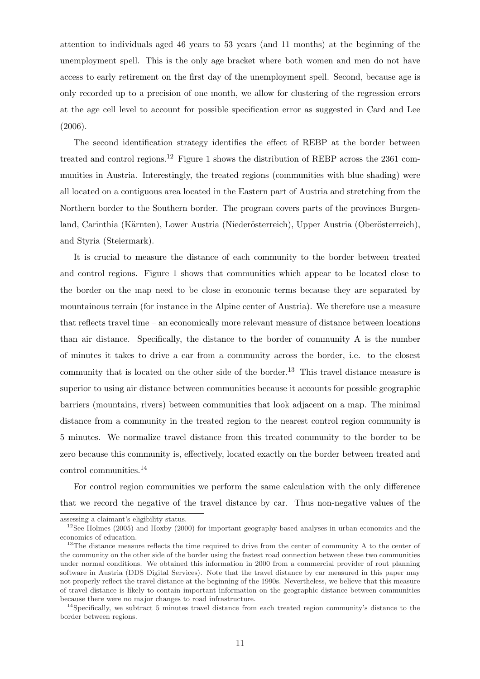attention to individuals aged 46 years to 53 years (and 11 months) at the beginning of the unemployment spell. This is the only age bracket where both women and men do not have access to early retirement on the first day of the unemployment spell. Second, because age is only recorded up to a precision of one month, we allow for clustering of the regression errors at the age cell level to account for possible specification error as suggested in Card and Lee (2006).

The second identification strategy identifies the effect of REBP at the border between treated and control regions.<sup>12</sup> Figure 1 shows the distribution of REBP across the 2361 communities in Austria. Interestingly, the treated regions (communities with blue shading) were all located on a contiguous area located in the Eastern part of Austria and stretching from the Northern border to the Southern border. The program covers parts of the provinces Burgenland, Carinthia (Kärnten), Lower Austria (Niederösterreich), Upper Austria (Oberösterreich), and Styria (Steiermark).

It is crucial to measure the distance of each community to the border between treated and control regions. Figure 1 shows that communities which appear to be located close to the border on the map need to be close in economic terms because they are separated by mountainous terrain (for instance in the Alpine center of Austria). We therefore use a measure that reflects travel time – an economically more relevant measure of distance between locations than air distance. Specifically, the distance to the border of community A is the number of minutes it takes to drive a car from a community across the border, i.e. to the closest community that is located on the other side of the border.<sup>13</sup> This travel distance measure is superior to using air distance between communities because it accounts for possible geographic barriers (mountains, rivers) between communities that look adjacent on a map. The minimal distance from a community in the treated region to the nearest control region community is 5 minutes. We normalize travel distance from this treated community to the border to be zero because this community is, effectively, located exactly on the border between treated and control communities.<sup>14</sup>

For control region communities we perform the same calculation with the only difference that we record the negative of the travel distance by car. Thus non-negative values of the

assessing a claimant's eligibility status.

<sup>&</sup>lt;sup>12</sup>See Holmes (2005) and Hoxby (2000) for important geography based analyses in urban economics and the economics of education.

<sup>&</sup>lt;sup>13</sup>The distance measure reflects the time required to drive from the center of community A to the center of the community on the other side of the border using the fastest road connection between these two communities under normal conditions. We obtained this information in 2000 from a commercial provider of rout planning software in Austria (DDS Digital Services). Note that the travel distance by car measured in this paper may not properly reflect the travel distance at the beginning of the 1990s. Nevertheless, we believe that this measure of travel distance is likely to contain important information on the geographic distance between communities because there were no major changes to road infrastructure.

 $14$ Specifically, we subtract 5 minutes travel distance from each treated region community's distance to the border between regions.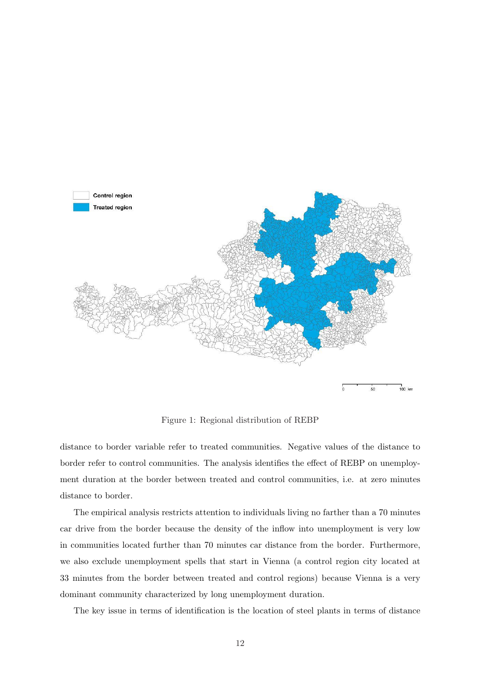

Figure 1: Regional distribution of REBP

distance to border variable refer to treated communities. Negative values of the distance to border refer to control communities. The analysis identifies the effect of REBP on unemployment duration at the border between treated and control communities, i.e. at zero minutes distance to border.

The empirical analysis restricts attention to individuals living no farther than a 70 minutes car drive from the border because the density of the inflow into unemployment is very low in communities located further than 70 minutes car distance from the border. Furthermore, we also exclude unemployment spells that start in Vienna (a control region city located at 33 minutes from the border between treated and control regions) because Vienna is a very dominant community characterized by long unemployment duration.

The key issue in terms of identification is the location of steel plants in terms of distance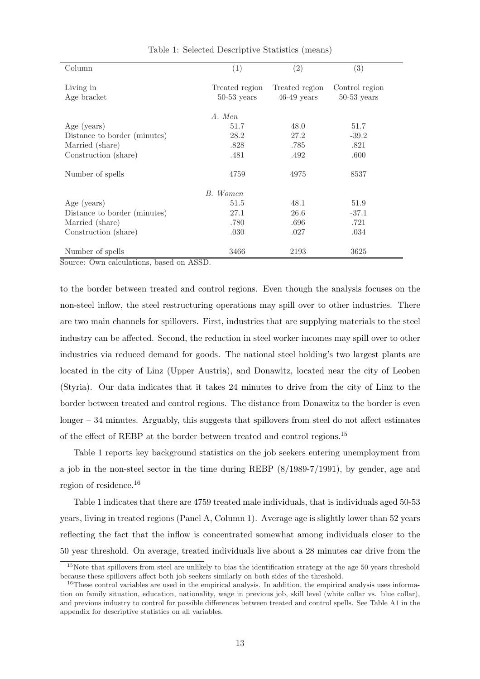| Column                       | (1)            | $\overline{(2)}$ | $\overline{(3)}$ |
|------------------------------|----------------|------------------|------------------|
|                              |                |                  |                  |
| Living in                    | Treated region | Treated region   | Control region   |
| Age bracket                  | $50-53$ years  | $46-49$ years    | $50-53$ years    |
|                              | A. Men         |                  |                  |
| Age (years)                  | 51.7           | 48.0             | 51.7             |
| Distance to border (minutes) | 28.2           | 27.2             | $-39.2$          |
| Married (share)              | .828           | .785             | .821             |
| Construction (share)         | .481           | .492             | .600             |
| Number of spells             | 4759           | 4975             | 8537             |
|                              | B. Women       |                  |                  |
| Age (years)                  | 51.5           | 48.1             | 51.9             |
| Distance to border (minutes) | 27.1           | 26.6             | $-37.1$          |
| Married (share)              | .780           | .696             | .721             |
| Construction (share)         | .030           | .027             | .034             |
| Number of spells             | 3466           | 2193             | 3625             |

Table 1: Selected Descriptive Statistics (means)

Source: Own calculations, based on ASSD.

to the border between treated and control regions. Even though the analysis focuses on the non-steel inflow, the steel restructuring operations may spill over to other industries. There are two main channels for spillovers. First, industries that are supplying materials to the steel industry can be affected. Second, the reduction in steel worker incomes may spill over to other industries via reduced demand for goods. The national steel holding's two largest plants are located in the city of Linz (Upper Austria), and Donawitz, located near the city of Leoben (Styria). Our data indicates that it takes 24 minutes to drive from the city of Linz to the border between treated and control regions. The distance from Donawitz to the border is even  $longer - 34$  minutes. Arguably, this suggests that spillovers from steel do not affect estimates of the effect of REBP at the border between treated and control regions.<sup>15</sup>

Table 1 reports key background statistics on the job seekers entering unemployment from a job in the non-steel sector in the time during REBP (8/1989-7/1991), by gender, age and region of residence.<sup>16</sup>

Table 1 indicates that there are 4759 treated male individuals, that is individuals aged 50-53 years, living in treated regions (Panel A, Column 1). Average age is slightly lower than 52 years reflecting the fact that the inflow is concentrated somewhat among individuals closer to the 50 year threshold. On average, treated individuals live about a 28 minutes car drive from the

 $15$ Note that spillovers from steel are unlikely to bias the identification strategy at the age  $50$  years threshold because these spillovers affect both job seekers similarly on both sides of the threshold.

 $16$ These control variables are used in the empirical analysis. In addition, the empirical analysis uses information on family situation, education, nationality, wage in previous job, skill level (white collar vs. blue collar), and previous industry to control for possible differences between treated and control spells. See Table A1 in the appendix for descriptive statistics on all variables.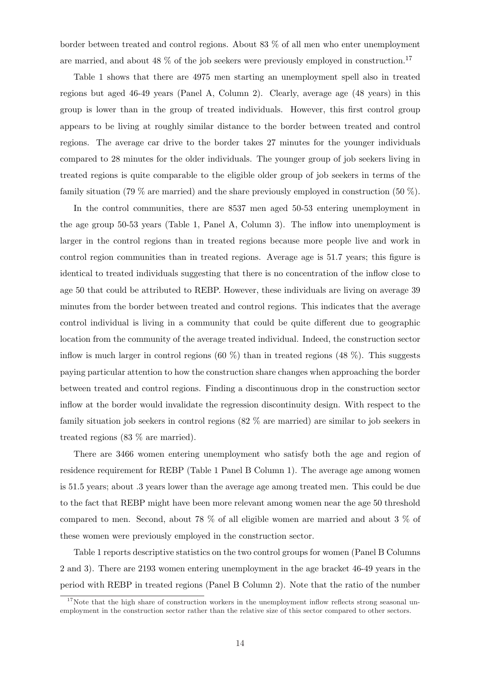border between treated and control regions. About 83 % of all men who enter unemployment are married, and about 48  $\%$  of the job seekers were previously employed in construction.<sup>17</sup>

Table 1 shows that there are 4975 men starting an unemployment spell also in treated regions but aged 46-49 years (Panel A, Column 2). Clearly, average age (48 years) in this group is lower than in the group of treated individuals. However, this first control group appears to be living at roughly similar distance to the border between treated and control regions. The average car drive to the border takes 27 minutes for the younger individuals compared to 28 minutes for the older individuals. The younger group of job seekers living in treated regions is quite comparable to the eligible older group of job seekers in terms of the family situation (79 % are married) and the share previously employed in construction (50 %).

In the control communities, there are 8537 men aged 50-53 entering unemployment in the age group 50-53 years (Table 1, Panel A, Column 3). The inflow into unemployment is larger in the control regions than in treated regions because more people live and work in control region communities than in treated regions. Average age is 51.7 years; this figure is identical to treated individuals suggesting that there is no concentration of the inflow close to age 50 that could be attributed to REBP. However, these individuals are living on average 39 minutes from the border between treated and control regions. This indicates that the average control individual is living in a community that could be quite different due to geographic location from the community of the average treated individual. Indeed, the construction sector inflow is much larger in control regions  $(60 \%)$  than in treated regions  $(48 \%)$ . This suggests paying particular attention to how the construction share changes when approaching the border between treated and control regions. Finding a discontinuous drop in the construction sector inflow at the border would invalidate the regression discontinuity design. With respect to the family situation job seekers in control regions (82 % are married) are similar to job seekers in treated regions (83 % are married).

There are 3466 women entering unemployment who satisfy both the age and region of residence requirement for REBP (Table 1 Panel B Column 1). The average age among women is 51.5 years; about .3 years lower than the average age among treated men. This could be due to the fact that REBP might have been more relevant among women near the age 50 threshold compared to men. Second, about 78 % of all eligible women are married and about 3 % of these women were previously employed in the construction sector.

Table 1 reports descriptive statistics on the two control groups for women (Panel B Columns 2 and 3). There are 2193 women entering unemployment in the age bracket 46-49 years in the period with REBP in treated regions (Panel B Column 2). Note that the ratio of the number

 $17$ Note that the high share of construction workers in the unemployment inflow reflects strong seasonal unemployment in the construction sector rather than the relative size of this sector compared to other sectors.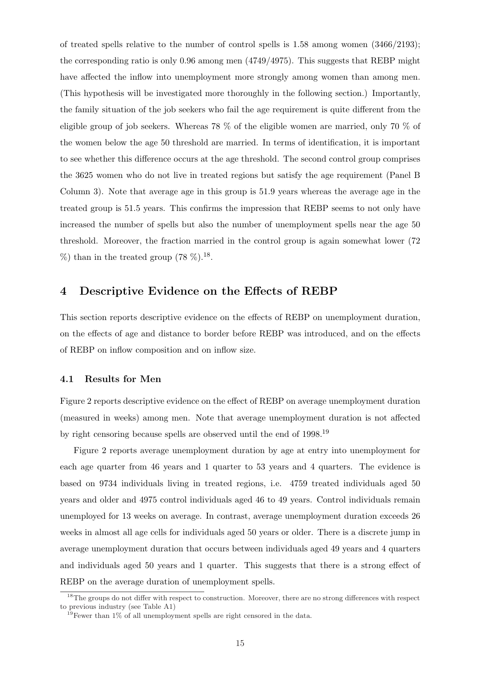of treated spells relative to the number of control spells is 1.58 among women (3466/2193); the corresponding ratio is only 0.96 among men (4749/4975). This suggests that REBP might have affected the inflow into unemployment more strongly among women than among men. (This hypothesis will be investigated more thoroughly in the following section.) Importantly, the family situation of the job seekers who fail the age requirement is quite different from the eligible group of job seekers. Whereas 78 % of the eligible women are married, only 70 % of the women below the age 50 threshold are married. In terms of identification, it is important to see whether this difference occurs at the age threshold. The second control group comprises the 3625 women who do not live in treated regions but satisfy the age requirement (Panel B Column 3). Note that average age in this group is 51.9 years whereas the average age in the treated group is 51.5 years. This confirms the impression that REBP seems to not only have increased the number of spells but also the number of unemployment spells near the age 50 threshold. Moreover, the fraction married in the control group is again somewhat lower (72  $\%$ ) than in the treated group (78  $\%$ ).<sup>18</sup>.

## 4 Descriptive Evidence on the Effects of REBP

This section reports descriptive evidence on the effects of REBP on unemployment duration, on the effects of age and distance to border before REBP was introduced, and on the effects of REBP on inflow composition and on inflow size.

#### 4.1 Results for Men

Figure 2 reports descriptive evidence on the effect of REBP on average unemployment duration (measured in weeks) among men. Note that average unemployment duration is not affected by right censoring because spells are observed until the end of 1998.<sup>19</sup>

Figure 2 reports average unemployment duration by age at entry into unemployment for each age quarter from 46 years and 1 quarter to 53 years and 4 quarters. The evidence is based on 9734 individuals living in treated regions, i.e. 4759 treated individuals aged 50 years and older and 4975 control individuals aged 46 to 49 years. Control individuals remain unemployed for 13 weeks on average. In contrast, average unemployment duration exceeds 26 weeks in almost all age cells for individuals aged 50 years or older. There is a discrete jump in average unemployment duration that occurs between individuals aged 49 years and 4 quarters and individuals aged 50 years and 1 quarter. This suggests that there is a strong effect of REBP on the average duration of unemployment spells.

<sup>&</sup>lt;sup>18</sup>The groups do not differ with respect to construction. Moreover, there are no strong differences with respect to previous industry (see Table A1)

 $19$ Fewer than 1% of all unemployment spells are right censored in the data.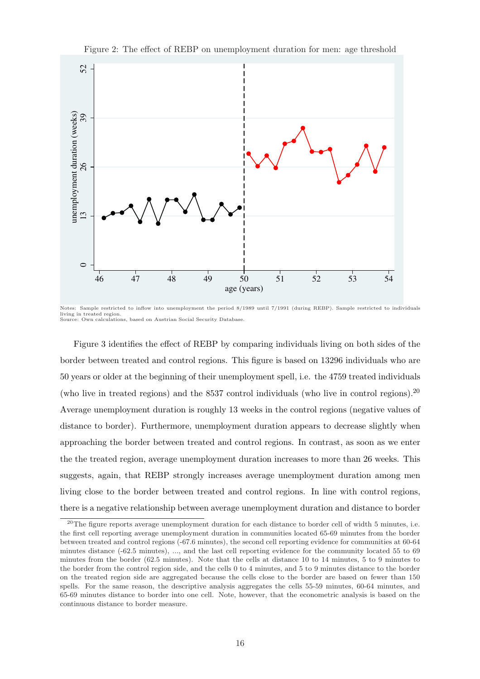

Figure 2: The effect of REBP on unemployment duration for men: age threshold

Figure 3 identifies the effect of REBP by comparing individuals living on both sides of the border between treated and control regions. This figure is based on 13296 individuals who are 50 years or older at the beginning of their unemployment spell, i.e. the 4759 treated individuals (who live in treated regions) and the 8537 control individuals (who live in control regions).<sup>20</sup> Average unemployment duration is roughly 13 weeks in the control regions (negative values of distance to border). Furthermore, unemployment duration appears to decrease slightly when approaching the border between treated and control regions. In contrast, as soon as we enter the the treated region, average unemployment duration increases to more than 26 weeks. This suggests, again, that REBP strongly increases average unemployment duration among men living close to the border between treated and control regions. In line with control regions, there is a negative relationship between average unemployment duration and distance to border

Notes: Sample restricted to inflow into unemployment the period 8/1989 until 7/1991 (during REBP). Sample restricted to individuals living in treated region. Source: Own calculations, based on Austrian Social Security Database.

<sup>&</sup>lt;sup>20</sup>The figure reports average unemployment duration for each distance to border cell of width 5 minutes, i.e. the first cell reporting average unemployment duration in communities located 65-69 minutes from the border between treated and control regions (-67.6 minutes), the second cell reporting evidence for communities at 60-64 minutes distance (-62.5 minutes), ..., and the last cell reporting evidence for the community located 55 to 69 minutes from the border (62.5 minutes). Note that the cells at distance 10 to 14 minutes, 5 to 9 minutes to the border from the control region side, and the cells 0 to 4 minutes, and 5 to 9 minutes distance to the border on the treated region side are aggregated because the cells close to the border are based on fewer than 150 spells. For the same reason, the descriptive analysis aggregates the cells 55-59 minutes, 60-64 minutes, and 65-69 minutes distance to border into one cell. Note, however, that the econometric analysis is based on the continuous distance to border measure.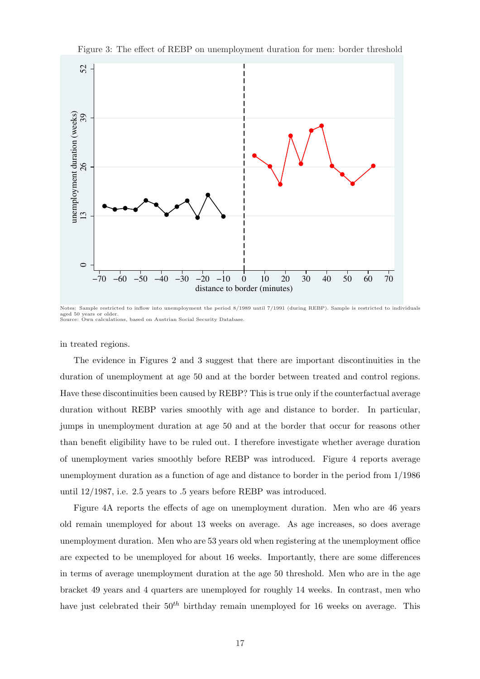

Figure 3: The effect of REBP on unemployment duration for men: border threshold

Notes: Sample restricted to inflow into unemployment the period 8/1989 until 7/1991 (during REBP). Sample is restricted to individuals aged 50 years or older. Source: Own calculations, based on Austrian Social Security Database.

in treated regions.

The evidence in Figures 2 and 3 suggest that there are important discontinuities in the duration of unemployment at age 50 and at the border between treated and control regions. Have these discontinuities been caused by REBP? This is true only if the counterfactual average duration without REBP varies smoothly with age and distance to border. In particular, jumps in unemployment duration at age 50 and at the border that occur for reasons other than benefit eligibility have to be ruled out. I therefore investigate whether average duration of unemployment varies smoothly before REBP was introduced. Figure 4 reports average unemployment duration as a function of age and distance to border in the period from 1/1986 until 12/1987, i.e. 2.5 years to .5 years before REBP was introduced.

Figure 4A reports the effects of age on unemployment duration. Men who are 46 years old remain unemployed for about 13 weeks on average. As age increases, so does average unemployment duration. Men who are 53 years old when registering at the unemployment office are expected to be unemployed for about 16 weeks. Importantly, there are some differences in terms of average unemployment duration at the age 50 threshold. Men who are in the age bracket 49 years and 4 quarters are unemployed for roughly 14 weeks. In contrast, men who have just celebrated their  $50<sup>th</sup>$  birthday remain unemployed for 16 weeks on average. This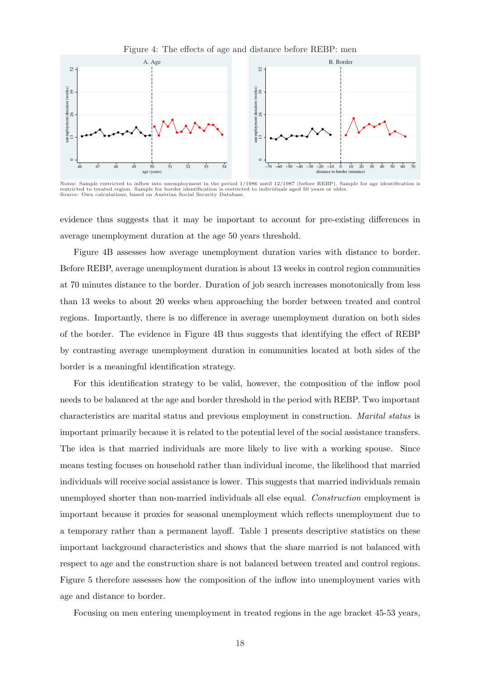

Notes: Sample restricted to inflow into unemployment in the period 1/1986 until 12/1987 (before REBP). Sample for age identification is restricted to treated region. Sample for border identification is restricted to individuals aged 50 years or older. Source: Own calculations, based on Austrian Social Security Database.

evidence thus suggests that it may be important to account for pre-existing differences in average unemployment duration at the age 50 years threshold.

Figure 4B assesses how average unemployment duration varies with distance to border. Before REBP, average unemployment duration is about 13 weeks in control region communities at 70 minutes distance to the border. Duration of job search increases monotonically from less than 13 weeks to about 20 weeks when approaching the border between treated and control regions. Importantly, there is no difference in average unemployment duration on both sides of the border. The evidence in Figure 4B thus suggests that identifying the effect of REBP by contrasting average unemployment duration in communities located at both sides of the border is a meaningful identification strategy.

For this identification strategy to be valid, however, the composition of the inflow pool needs to be balanced at the age and border threshold in the period with REBP. Two important characteristics are marital status and previous employment in construction. Marital status is important primarily because it is related to the potential level of the social assistance transfers. The idea is that married individuals are more likely to live with a working spouse. Since means testing focuses on household rather than individual income, the likelihood that married individuals will receive social assistance is lower. This suggests that married individuals remain unemployed shorter than non-married individuals all else equal. Construction employment is important because it proxies for seasonal unemployment which reflects unemployment due to a temporary rather than a permanent layoff. Table 1 presents descriptive statistics on these important background characteristics and shows that the share married is not balanced with respect to age and the construction share is not balanced between treated and control regions. Figure 5 therefore assesses how the composition of the inflow into unemployment varies with age and distance to border.

Focusing on men entering unemployment in treated regions in the age bracket 45-53 years,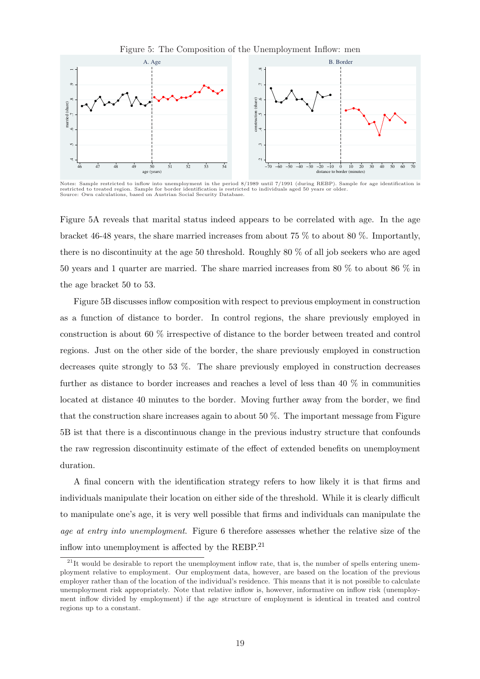

Notes: Sample restricted to inflow into unemployment in the period 8/1989 until 7/1991 (during REBP). Sample for age identification is restricted to treated region. Sample for border identification is restricted to individuals aged 50 years or older. Source: Own calculations, based on Austrian Social Security Database.

Figure 5A reveals that marital status indeed appears to be correlated with age. In the age bracket 46-48 years, the share married increases from about 75 % to about 80 %. Importantly, there is no discontinuity at the age 50 threshold. Roughly 80 % of all job seekers who are aged 50 years and 1 quarter are married. The share married increases from 80 % to about 86 % in the age bracket 50 to 53.

Figure 5B discusses inflow composition with respect to previous employment in construction as a function of distance to border. In control regions, the share previously employed in construction is about 60 % irrespective of distance to the border between treated and control regions. Just on the other side of the border, the share previously employed in construction decreases quite strongly to 53 %. The share previously employed in construction decreases further as distance to border increases and reaches a level of less than 40 % in communities located at distance 40 minutes to the border. Moving further away from the border, we find that the construction share increases again to about 50 %. The important message from Figure 5B ist that there is a discontinuous change in the previous industry structure that confounds the raw regression discontinuity estimate of the effect of extended benefits on unemployment duration.

A final concern with the identification strategy refers to how likely it is that firms and individuals manipulate their location on either side of the threshold. While it is clearly difficult to manipulate one's age, it is very well possible that firms and individuals can manipulate the age at entry into unemployment. Figure 6 therefore assesses whether the relative size of the inflow into unemployment is affected by the REBP. $^{21}$ 

 $^{21}$ It would be desirable to report the unemployment inflow rate, that is, the number of spells entering unemployment relative to employment. Our employment data, however, are based on the location of the previous employer rather than of the location of the individual's residence. This means that it is not possible to calculate unemployment risk appropriately. Note that relative inflow is, however, informative on inflow risk (unemployment inflow divided by employment) if the age structure of employment is identical in treated and control regions up to a constant.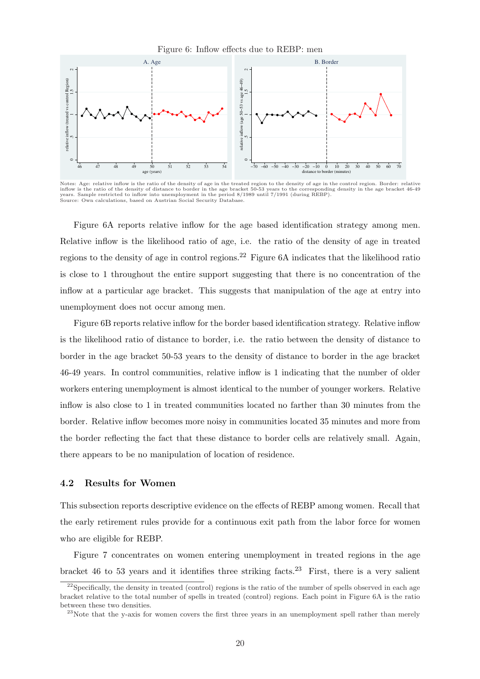

Notes: Age: relative inflow is the ratio of the density of age in the treated region to the density of age in the control region. Border: relative inflow is the ratio of the density of distance to border in the age bracket 50-53 years to the corresponding density in the age bracket 46-49<br>years. Sample restricted to inflow into unemployment in the period 8/1989 until Source: Own calculations, based on Austrian Social Security Database

Figure 6A reports relative inflow for the age based identification strategy among men. Relative inflow is the likelihood ratio of age, i.e. the ratio of the density of age in treated regions to the density of age in control regions.<sup>22</sup> Figure 6A indicates that the likelihood ratio is close to 1 throughout the entire support suggesting that there is no concentration of the inflow at a particular age bracket. This suggests that manipulation of the age at entry into unemployment does not occur among men.

Figure 6B reports relative inflow for the border based identification strategy. Relative inflow is the likelihood ratio of distance to border, i.e. the ratio between the density of distance to border in the age bracket 50-53 years to the density of distance to border in the age bracket 46-49 years. In control communities, relative inflow is 1 indicating that the number of older workers entering unemployment is almost identical to the number of younger workers. Relative inflow is also close to 1 in treated communities located no farther than 30 minutes from the border. Relative inflow becomes more noisy in communities located 35 minutes and more from the border reflecting the fact that these distance to border cells are relatively small. Again, there appears to be no manipulation of location of residence.

#### 4.2 Results for Women

This subsection reports descriptive evidence on the effects of REBP among women. Recall that the early retirement rules provide for a continuous exit path from the labor force for women who are eligible for REBP.

Figure 7 concentrates on women entering unemployment in treated regions in the age bracket 46 to 53 years and it identifies three striking facts.<sup>23</sup> First, there is a very salient

<sup>&</sup>lt;sup>22</sup>Specifically, the density in treated (control) regions is the ratio of the number of spells observed in each age bracket relative to the total number of spells in treated (control) regions. Each point in Figure 6A is the ratio between these two densities.

 $23$ Note that the y-axis for women covers the first three years in an unemployment spell rather than merely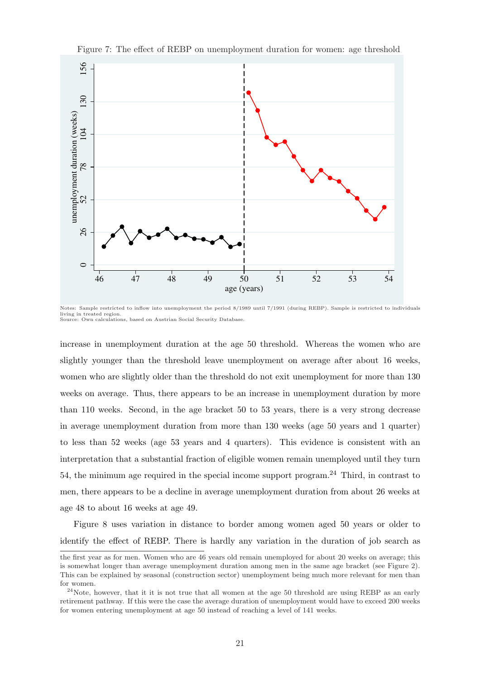

Figure 7: The effect of REBP on unemployment duration for women: age threshold

increase in unemployment duration at the age 50 threshold. Whereas the women who are slightly younger than the threshold leave unemployment on average after about 16 weeks, women who are slightly older than the threshold do not exit unemployment for more than 130 weeks on average. Thus, there appears to be an increase in unemployment duration by more than 110 weeks. Second, in the age bracket 50 to 53 years, there is a very strong decrease in average unemployment duration from more than 130 weeks (age 50 years and 1 quarter) to less than 52 weeks (age 53 years and 4 quarters). This evidence is consistent with an interpretation that a substantial fraction of eligible women remain unemployed until they turn 54, the minimum age required in the special income support program.<sup>24</sup> Third, in contrast to men, there appears to be a decline in average unemployment duration from about 26 weeks at age 48 to about 16 weeks at age 49.

Figure 8 uses variation in distance to border among women aged 50 years or older to identify the effect of REBP. There is hardly any variation in the duration of job search as

Notes: Sample restricted to inflow into unemployment the period 8/1989 until 7/1991 (during REBP). Sample is restricted to individuals living in treated region. Source: Own calculations, based on Austrian Social Security Database.

the first year as for men. Women who are 46 years old remain unemployed for about 20 weeks on average; this is somewhat longer than average unemployment duration among men in the same age bracket (see Figure 2). This can be explained by seasonal (construction sector) unemployment being much more relevant for men than for women.

<sup>&</sup>lt;sup>24</sup>Note, however, that it it is not true that all women at the age 50 threshold are using REBP as an early retirement pathway. If this were the case the average duration of unemployment would have to exceed 200 weeks for women entering unemployment at age 50 instead of reaching a level of 141 weeks.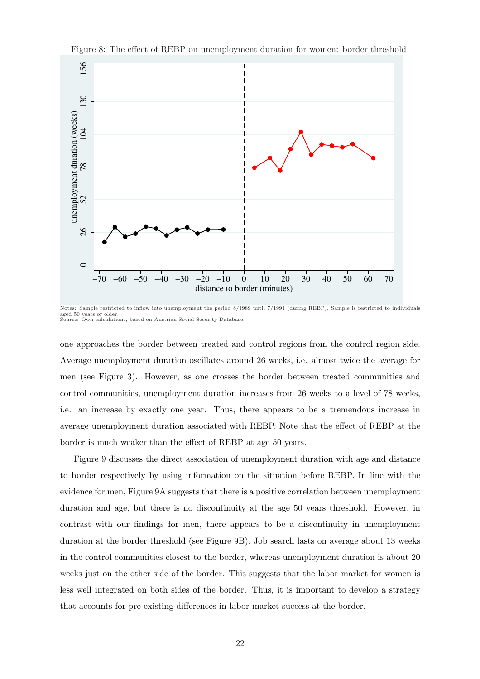

Figure 8: The effect of REBP on unemployment duration for women: border threshold

Notes: Sample restricted to inflow into unemployment the period 8/1989 until 7/1991 (during REBP). Sample is restricted to individuals aged 50 years or older. Source: Own calculations, based on Austrian Social Security Database.

one approaches the border between treated and control regions from the control region side. Average unemployment duration oscillates around 26 weeks, i.e. almost twice the average for men (see Figure 3). However, as one crosses the border between treated communities and control communities, unemployment duration increases from 26 weeks to a level of 78 weeks, i.e. an increase by exactly one year. Thus, there appears to be a tremendous increase in average unemployment duration associated with REBP. Note that the effect of REBP at the border is much weaker than the effect of REBP at age 50 years.

Figure 9 discusses the direct association of unemployment duration with age and distance to border respectively by using information on the situation before REBP. In line with the evidence for men, Figure 9A suggests that there is a positive correlation between unemployment duration and age, but there is no discontinuity at the age 50 years threshold. However, in contrast with our findings for men, there appears to be a discontinuity in unemployment duration at the border threshold (see Figure 9B). Job search lasts on average about 13 weeks in the control communities closest to the border, whereas unemployment duration is about 20 weeks just on the other side of the border. This suggests that the labor market for women is less well integrated on both sides of the border. Thus, it is important to develop a strategy that accounts for pre-existing differences in labor market success at the border.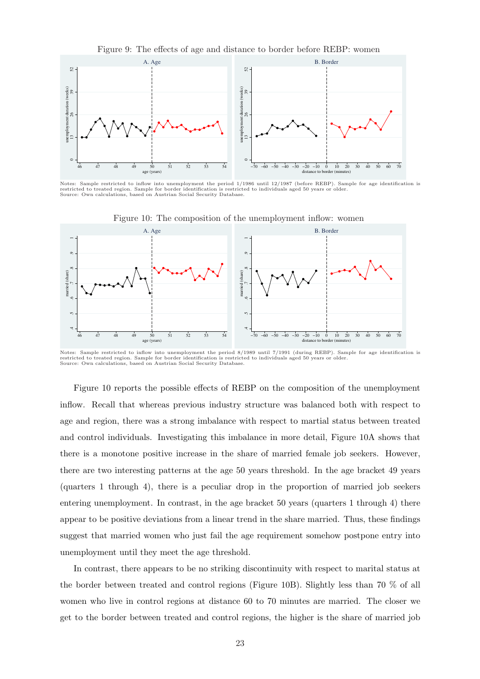

Notes: Sample restricted to inflow into unemployment the period 1/1986 until 12/1987 (before REBP). Sample for age identification is restricted to treated region. Sample for border identification is restricted to individuals aged 50 years or older. Source: Own calculations, based on Austrian Social Security Database.



Figure 10: The composition of the unemployment inflow: women

Notes: Sample restricted to inflow into unemployment the period 8/1989 until 7/1991 (during REBP). Sample for age identification is<br>restricted to treated region. Sample for border identification is restricted to individual Source: Own calculations, based on Austrian Social Security Database.

Figure 10 reports the possible effects of REBP on the composition of the unemployment inflow. Recall that whereas previous industry structure was balanced both with respect to age and region, there was a strong imbalance with respect to martial status between treated and control individuals. Investigating this imbalance in more detail, Figure 10A shows that there is a monotone positive increase in the share of married female job seekers. However, there are two interesting patterns at the age 50 years threshold. In the age bracket 49 years (quarters 1 through 4), there is a peculiar drop in the proportion of married job seekers entering unemployment. In contrast, in the age bracket 50 years (quarters 1 through 4) there appear to be positive deviations from a linear trend in the share married. Thus, these findings suggest that married women who just fail the age requirement somehow postpone entry into unemployment until they meet the age threshold.

In contrast, there appears to be no striking discontinuity with respect to marital status at the border between treated and control regions (Figure 10B). Slightly less than 70 % of all women who live in control regions at distance 60 to 70 minutes are married. The closer we get to the border between treated and control regions, the higher is the share of married job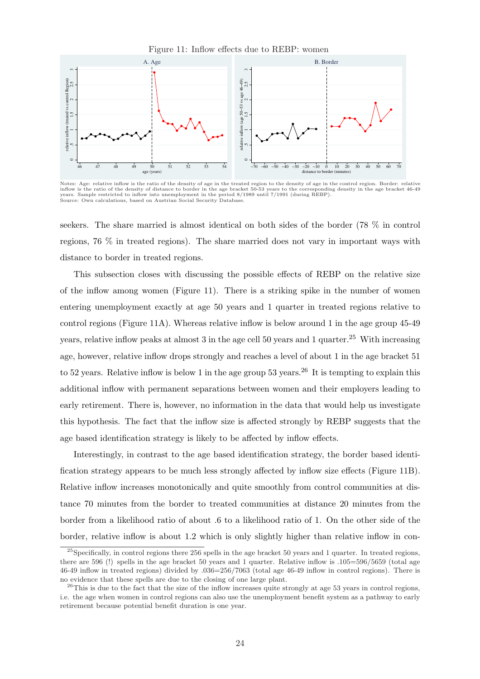

Notes: Age: relative inflow is the ratio of the density of age in the treated region to the density of age in the control region. Border: relative inflow is the ratio of the density of distance to border in the age bracket 50-53 years to the corresponding density in the age bracket 46-49<br>years. Sample restricted to inflow into unemployment in the period 8/1989 until

seekers. The share married is almost identical on both sides of the border (78 % in control regions, 76 % in treated regions). The share married does not vary in important ways with

distance to border in treated regions.

Source: Own calculations, based on Austrian Social Security Database

This subsection closes with discussing the possible effects of REBP on the relative size of the inflow among women (Figure 11). There is a striking spike in the number of women entering unemployment exactly at age 50 years and 1 quarter in treated regions relative to control regions (Figure 11A). Whereas relative inflow is below around 1 in the age group 45-49 years, relative inflow peaks at almost 3 in the age cell 50 years and 1 quarter.<sup>25</sup> With increasing age, however, relative inflow drops strongly and reaches a level of about 1 in the age bracket 51 to 52 years. Relative inflow is below 1 in the age group 53 years.<sup>26</sup> It is tempting to explain this additional inflow with permanent separations between women and their employers leading to early retirement. There is, however, no information in the data that would help us investigate this hypothesis. The fact that the inflow size is affected strongly by REBP suggests that the age based identification strategy is likely to be affected by inflow effects.

Interestingly, in contrast to the age based identification strategy, the border based identification strategy appears to be much less strongly affected by inflow size effects (Figure 11B). Relative inflow increases monotonically and quite smoothly from control communities at distance 70 minutes from the border to treated communities at distance 20 minutes from the border from a likelihood ratio of about .6 to a likelihood ratio of 1. On the other side of the border, relative inflow is about 1.2 which is only slightly higher than relative inflow in con-

<sup>&</sup>lt;sup>25</sup>Specifically, in control regions there 256 spells in the age bracket 50 years and 1 quarter. In treated regions, there are 596 (!) spells in the age bracket 50 years and 1 quarter. Relative inflow is .105=596/5659 (total age 46-49 inflow in treated regions) divided by .036=256/7063 (total age 46-49 inflow in control regions). There is no evidence that these spells are due to the closing of one large plant.

 $^{26}$ This is due to the fact that the size of the inflow increases quite strongly at age 53 years in control regions, i.e. the age when women in control regions can also use the unemployment benefit system as a pathway to early retirement because potential benefit duration is one year.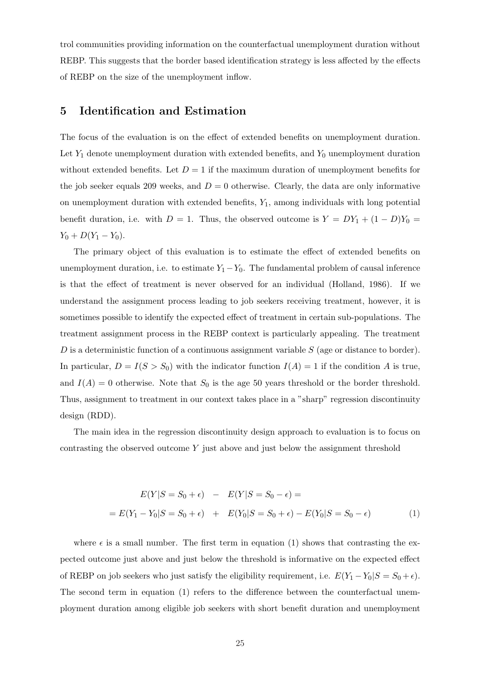trol communities providing information on the counterfactual unemployment duration without REBP. This suggests that the border based identification strategy is less affected by the effects of REBP on the size of the unemployment inflow.

## 5 Identification and Estimation

The focus of the evaluation is on the effect of extended benefits on unemployment duration. Let  $Y_1$  denote unemployment duration with extended benefits, and  $Y_0$  unemployment duration without extended benefits. Let  $D = 1$  if the maximum duration of unemployment benefits for the job seeker equals 209 weeks, and  $D = 0$  otherwise. Clearly, the data are only informative on unemployment duration with extended benefits,  $Y_1$ , among individuals with long potential benefit duration, i.e. with  $D = 1$ . Thus, the observed outcome is  $Y = DY_1 + (1 - D)Y_0 =$  $Y_0 + D(Y_1 - Y_0).$ 

The primary object of this evaluation is to estimate the effect of extended benefits on unemployment duration, i.e. to estimate  $Y_1-Y_0$ . The fundamental problem of causal inference is that the effect of treatment is never observed for an individual (Holland, 1986). If we understand the assignment process leading to job seekers receiving treatment, however, it is sometimes possible to identify the expected effect of treatment in certain sub-populations. The treatment assignment process in the REBP context is particularly appealing. The treatment  $D$  is a deterministic function of a continuous assignment variable  $S$  (age or distance to border). In particular,  $D = I(S > S_0)$  with the indicator function  $I(A) = 1$  if the condition A is true, and  $I(A) = 0$  otherwise. Note that  $S_0$  is the age 50 years threshold or the border threshold. Thus, assignment to treatment in our context takes place in a "sharp" regression discontinuity design (RDD).

The main idea in the regression discontinuity design approach to evaluation is to focus on contrasting the observed outcome  $Y$  just above and just below the assignment threshold

$$
E(Y|S = S_0 + \epsilon) - E(Y|S = S_0 - \epsilon) =
$$
  
=  $E(Y_1 - Y_0|S = S_0 + \epsilon) + E(Y_0|S = S_0 + \epsilon) - E(Y_0|S = S_0 - \epsilon)$  (1)

where  $\epsilon$  is a small number. The first term in equation (1) shows that contrasting the expected outcome just above and just below the threshold is informative on the expected effect of REBP on job seekers who just satisfy the eligibility requirement, i.e.  $E(Y_1 - Y_0|S = S_0 + \epsilon)$ . The second term in equation (1) refers to the difference between the counterfactual unemployment duration among eligible job seekers with short benefit duration and unemployment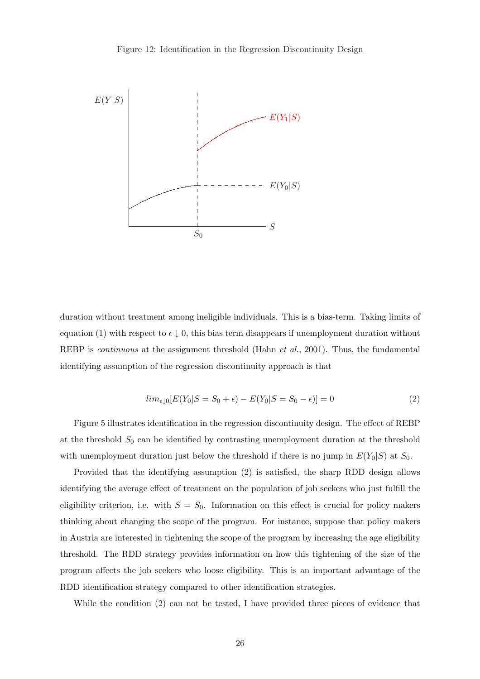

duration without treatment among ineligible individuals. This is a bias-term. Taking limits of equation (1) with respect to  $\epsilon \downarrow 0$ , this bias term disappears if unemployment duration without REBP is *continuous* at the assignment threshold (Hahn *et al.*, 2001). Thus, the fundamental identifying assumption of the regression discontinuity approach is that

$$
lim_{\epsilon \downarrow 0}[E(Y_0|S = S_0 + \epsilon) - E(Y_0|S = S_0 - \epsilon)] = 0
$$
\n(2)

Figure 5 illustrates identification in the regression discontinuity design. The effect of REBP at the threshold  $S_0$  can be identified by contrasting unemployment duration at the threshold with unemployment duration just below the threshold if there is no jump in  $E(Y_0|S)$  at  $S_0$ .

Provided that the identifying assumption (2) is satisfied, the sharp RDD design allows identifying the average effect of treatment on the population of job seekers who just fulfill the eligibility criterion, i.e. with  $S = S_0$ . Information on this effect is crucial for policy makers thinking about changing the scope of the program. For instance, suppose that policy makers in Austria are interested in tightening the scope of the program by increasing the age eligibility threshold. The RDD strategy provides information on how this tightening of the size of the program affects the job seekers who loose eligibility. This is an important advantage of the RDD identification strategy compared to other identification strategies.

While the condition (2) can not be tested, I have provided three pieces of evidence that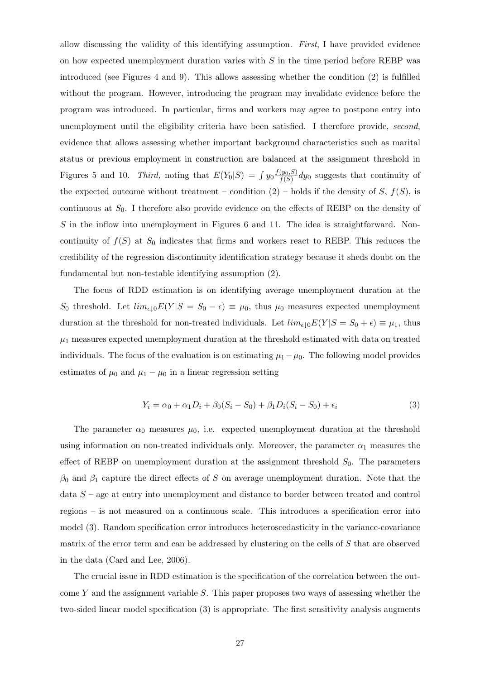allow discussing the validity of this identifying assumption. First, I have provided evidence on how expected unemployment duration varies with  $S$  in the time period before REBP was introduced (see Figures 4 and 9). This allows assessing whether the condition (2) is fulfilled without the program. However, introducing the program may invalidate evidence before the program was introduced. In particular, firms and workers may agree to postpone entry into unemployment until the eligibility criteria have been satisfied. I therefore provide, second, evidence that allows assessing whether important background characteristics such as marital status or previous employment in construction are balanced at the assignment threshold in Figures 5 and 10. Third, noting that  $E(Y_0|S) = \int y_0 \frac{f(y_0, S)}{f(S)}$  $\frac{(y_0, S)}{f(S)}$  dy<sub>0</sub> suggests that continuity of the expected outcome without treatment – condition  $(2)$  – holds if the density of S,  $f(S)$ , is continuous at  $S_0$ . I therefore also provide evidence on the effects of REBP on the density of S in the inflow into unemployment in Figures 6 and 11. The idea is straightforward. Noncontinuity of  $f(S)$  at  $S_0$  indicates that firms and workers react to REBP. This reduces the credibility of the regression discontinuity identification strategy because it sheds doubt on the fundamental but non-testable identifying assumption (2).

The focus of RDD estimation is on identifying average unemployment duration at the S<sub>0</sub> threshold. Let  $\lim_{\epsilon \downarrow 0} E(Y|S = S_0 - \epsilon) \equiv \mu_0$ , thus  $\mu_0$  measures expected unemployment duration at the threshold for non-treated individuals. Let  $\lim_{\epsilon \downarrow 0} E(Y|S = S_0 + \epsilon) \equiv \mu_1$ , thus  $\mu_1$  measures expected unemployment duration at the threshold estimated with data on treated individuals. The focus of the evaluation is on estimating  $\mu_1-\mu_0$ . The following model provides estimates of  $\mu_0$  and  $\mu_1 - \mu_0$  in a linear regression setting

$$
Y_i = \alpha_0 + \alpha_1 D_i + \beta_0 (S_i - S_0) + \beta_1 D_i (S_i - S_0) + \epsilon_i
$$
\n(3)

The parameter  $\alpha_0$  measures  $\mu_0$ , i.e. expected unemployment duration at the threshold using information on non-treated individuals only. Moreover, the parameter  $\alpha_1$  measures the effect of REBP on unemployment duration at the assignment threshold  $S_0$ . The parameters  $\beta_0$  and  $\beta_1$  capture the direct effects of S on average unemployment duration. Note that the data  $S$  – age at entry into unemployment and distance to border between treated and control regions – is not measured on a continuous scale. This introduces a specification error into model (3). Random specification error introduces heteroscedasticity in the variance-covariance matrix of the error term and can be addressed by clustering on the cells of S that are observed in the data (Card and Lee, 2006).

The crucial issue in RDD estimation is the specification of the correlation between the outcome Y and the assignment variable  $S$ . This paper proposes two ways of assessing whether the two-sided linear model specification (3) is appropriate. The first sensitivity analysis augments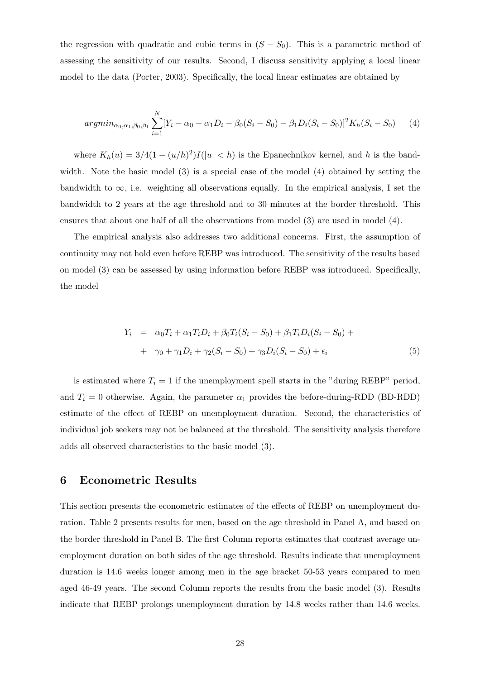the regression with quadratic and cubic terms in  $(S - S_0)$ . This is a parametric method of assessing the sensitivity of our results. Second, I discuss sensitivity applying a local linear model to the data (Porter, 2003). Specifically, the local linear estimates are obtained by

$$
argmin_{\alpha_0, \alpha_1, \beta_0, \beta_1} \sum_{i=1}^{N} [Y_i - \alpha_0 - \alpha_1 D_i - \beta_0 (S_i - S_0) - \beta_1 D_i (S_i - S_0)]^2 K_h (S_i - S_0)
$$
 (4)

where  $K_h(u) = 3/4(1 - (u/h)^2)I(|u| < h)$  is the Epanechnikov kernel, and h is the bandwidth. Note the basic model (3) is a special case of the model (4) obtained by setting the bandwidth to  $\infty$ , i.e. weighting all observations equally. In the empirical analysis, I set the bandwidth to 2 years at the age threshold and to 30 minutes at the border threshold. This ensures that about one half of all the observations from model (3) are used in model (4).

The empirical analysis also addresses two additional concerns. First, the assumption of continuity may not hold even before REBP was introduced. The sensitivity of the results based on model (3) can be assessed by using information before REBP was introduced. Specifically, the model

$$
Y_i = \alpha_0 T_i + \alpha_1 T_i D_i + \beta_0 T_i (S_i - S_0) + \beta_1 T_i D_i (S_i - S_0) + + \gamma_0 + \gamma_1 D_i + \gamma_2 (S_i - S_0) + \gamma_3 D_i (S_i - S_0) + \epsilon_i
$$
(5)

is estimated where  $T_i = 1$  if the unemployment spell starts in the "during REBP" period, and  $T_i = 0$  otherwise. Again, the parameter  $\alpha_1$  provides the before-during-RDD (BD-RDD) estimate of the effect of REBP on unemployment duration. Second, the characteristics of individual job seekers may not be balanced at the threshold. The sensitivity analysis therefore adds all observed characteristics to the basic model (3).

## 6 Econometric Results

This section presents the econometric estimates of the effects of REBP on unemployment duration. Table 2 presents results for men, based on the age threshold in Panel A, and based on the border threshold in Panel B. The first Column reports estimates that contrast average unemployment duration on both sides of the age threshold. Results indicate that unemployment duration is 14.6 weeks longer among men in the age bracket 50-53 years compared to men aged 46-49 years. The second Column reports the results from the basic model (3). Results indicate that REBP prolongs unemployment duration by 14.8 weeks rather than 14.6 weeks.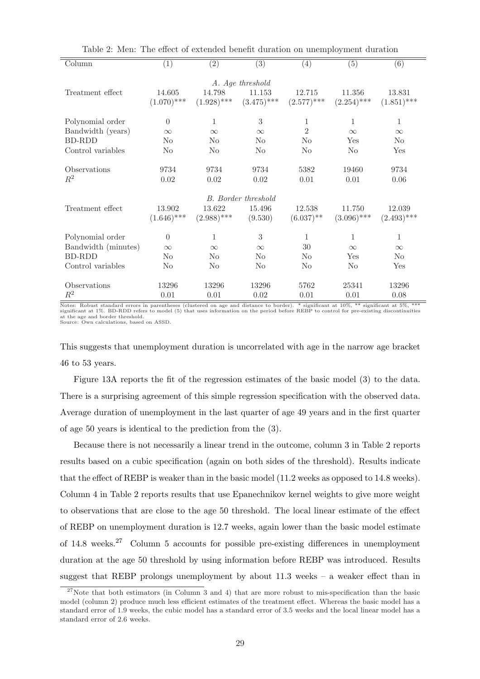| Column              | (1)           | $\overline{(2)}$ | $\overline{(3)}$           | (4)            | (5)           | (6)            |
|---------------------|---------------|------------------|----------------------------|----------------|---------------|----------------|
|                     |               |                  | A. Age threshold           |                |               |                |
| Treatment effect    | 14.605        | 14.798           | 11.153                     | 12.715         | 11.356        | 13.831         |
|                     | $(1.070)$ *** | $(1.928)$ ***    | $(3.475)$ ***              | $(2.577)$ ***  | $(2.254)$ *** | $(1.851)$ ***  |
| Polynomial order    | $\theta$      | 1                | 3                          | 1              | 1             | $\mathbf{1}$   |
| Bandwidth (years)   | $\infty$      | $\infty$         | $\infty$                   | $\overline{2}$ | $\infty$      | $\infty$       |
| <b>BD-RDD</b>       | $\rm No$      | N <sub>0</sub>   | $\rm No$                   | No             | Yes           | N <sub>0</sub> |
| Control variables   | $\rm No$      | N <sub>0</sub>   | $\rm No$                   | No             | $\rm No$      | Yes            |
| Observations        | 9734          | 9734             | 9734                       | 5382           | 19460         | 9734           |
| $R^2$               | $0.02\,$      | 0.02             | $0.02\,$                   | 0.01           | 0.01          | 0.06           |
|                     |               |                  |                            |                |               |                |
|                     |               |                  | <b>B.</b> Border threshold |                |               |                |
| Treatment effect    | 13.902        | 13.622           | 15.496                     | 12.538         | 11.750        | 12.039         |
|                     | $(1.646)$ *** | $(2.988)$ ***    | (9.530)                    | $(6.037)$ **   | $(3.096)$ *** | $(2.493)$ ***  |
| Polynomial order    | $\Omega$      | 1                | 3                          | 1              | 1             | $\mathbf{1}$   |
| Bandwidth (minutes) | $\infty$      | $\infty$         | $\infty$                   | 30             | $\infty$      | $\infty$       |
| <b>BD-RDD</b>       | $\rm No$      | N <sub>0</sub>   | $\rm No$                   | No             | Yes           | N <sub>0</sub> |
| Control variables   | $\rm No$      | N <sub>0</sub>   | $\rm No$                   | No             | $\rm No$      | Yes            |
| Observations        | 13296         | 13296            | 13296                      | 5762           | 25341         | 13296          |
| $R^2$               | 0.01          | 0.01             | 0.02                       | 0.01           | 0.01          | 0.08           |
|                     |               |                  |                            |                |               |                |

Table 2: Men: The effect of extended benefit duration on unemployment duration

Notes: Robust standard errors in parentheses (clustered on age and distance to border). \* significant at 10%, \*\* significant at 5%, \*\*\*<br>significant at 1%. BD-RDD refers to model (5) that uses information on the period befo at the age and border threshold. Source: Own calculations, based on ASSD.

This suggests that unemployment duration is uncorrelated with age in the narrow age bracket 46 to 53 years.

Figure 13A reports the fit of the regression estimates of the basic model (3) to the data. There is a surprising agreement of this simple regression specification with the observed data. Average duration of unemployment in the last quarter of age 49 years and in the first quarter of age 50 years is identical to the prediction from the (3).

Because there is not necessarily a linear trend in the outcome, column 3 in Table 2 reports results based on a cubic specification (again on both sides of the threshold). Results indicate that the effect of REBP is weaker than in the basic model (11.2 weeks as opposed to 14.8 weeks). Column 4 in Table 2 reports results that use Epanechnikov kernel weights to give more weight to observations that are close to the age 50 threshold. The local linear estimate of the effect of REBP on unemployment duration is 12.7 weeks, again lower than the basic model estimate of 14.8 weeks.<sup>27</sup> Column 5 accounts for possible pre-existing differences in unemployment duration at the age 50 threshold by using information before REBP was introduced. Results suggest that REBP prolongs unemployment by about 11.3 weeks – a weaker effect than in

 $27$ Note that both estimators (in Column 3 and 4) that are more robust to mis-specification than the basic model (column 2) produce much less efficient estimates of the treatment effect. Whereas the basic model has a standard error of 1.9 weeks, the cubic model has a standard error of 3.5 weeks and the local linear model has a standard error of 2.6 weeks.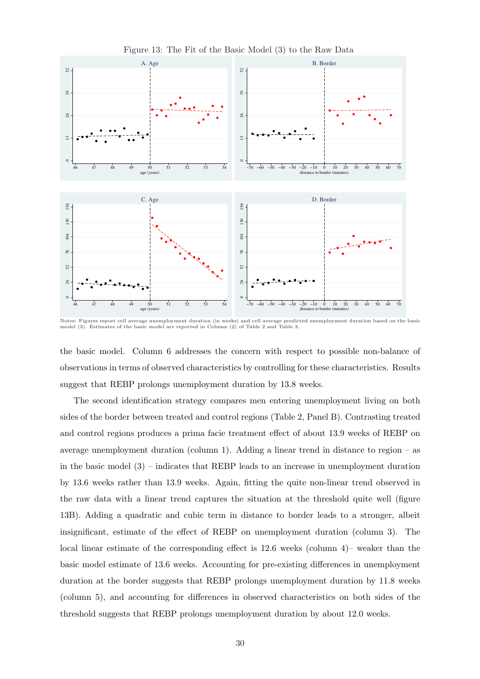

Figure 13: The Fit of the Basic Model (3) to the Raw Data

Notes: Figures report cell average unemployment duration (in weeks) and cell average predicted unemployment duration based on the basic<br>model (3). Estimates of the basic model are reported in Column (2) of Table 2 and Tabl

the basic model. Column 6 addresses the concern with respect to possible non-balance of observations in terms of observed characteristics by controlling for these characteristics. Results suggest that REBP prolongs unemployment duration by 13.8 weeks.

The second identification strategy compares men entering unemployment living on both sides of the border between treated and control regions (Table 2, Panel B). Contrasting treated and control regions produces a prima facie treatment effect of about 13.9 weeks of REBP on average unemployment duration (column 1). Adding a linear trend in distance to region – as in the basic model  $(3)$  – indicates that REBP leads to an increase in unemployment duration by 13.6 weeks rather than 13.9 weeks. Again, fitting the quite non-linear trend observed in the raw data with a linear trend captures the situation at the threshold quite well (figure 13B). Adding a quadratic and cubic term in distance to border leads to a stronger, albeit insignificant, estimate of the effect of REBP on unemployment duration (column 3). The local linear estimate of the corresponding effect is 12.6 weeks (column 4)– weaker than the basic model estimate of 13.6 weeks. Accounting for pre-existing differences in unemployment duration at the border suggests that REBP prolongs unemployment duration by 11.8 weeks (column 5), and accounting for differences in observed characteristics on both sides of the threshold suggests that REBP prolongs unemployment duration by about 12.0 weeks.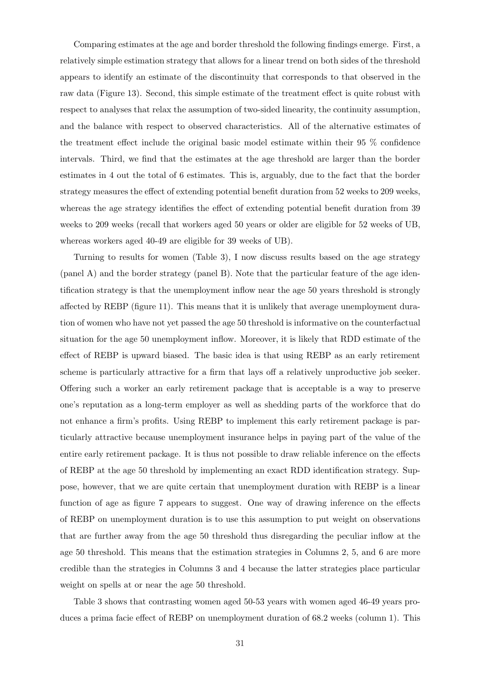Comparing estimates at the age and border threshold the following findings emerge. First, a relatively simple estimation strategy that allows for a linear trend on both sides of the threshold appears to identify an estimate of the discontinuity that corresponds to that observed in the raw data (Figure 13). Second, this simple estimate of the treatment effect is quite robust with respect to analyses that relax the assumption of two-sided linearity, the continuity assumption, and the balance with respect to observed characteristics. All of the alternative estimates of the treatment effect include the original basic model estimate within their 95 % confidence intervals. Third, we find that the estimates at the age threshold are larger than the border estimates in 4 out the total of 6 estimates. This is, arguably, due to the fact that the border strategy measures the effect of extending potential benefit duration from 52 weeks to 209 weeks, whereas the age strategy identifies the effect of extending potential benefit duration from 39 weeks to 209 weeks (recall that workers aged 50 years or older are eligible for 52 weeks of UB, whereas workers aged 40-49 are eligible for 39 weeks of UB).

Turning to results for women (Table 3), I now discuss results based on the age strategy (panel A) and the border strategy (panel B). Note that the particular feature of the age identification strategy is that the unemployment inflow near the age 50 years threshold is strongly affected by REBP (figure 11). This means that it is unlikely that average unemployment duration of women who have not yet passed the age 50 threshold is informative on the counterfactual situation for the age 50 unemployment inflow. Moreover, it is likely that RDD estimate of the effect of REBP is upward biased. The basic idea is that using REBP as an early retirement scheme is particularly attractive for a firm that lays off a relatively unproductive job seeker. Offering such a worker an early retirement package that is acceptable is a way to preserve one's reputation as a long-term employer as well as shedding parts of the workforce that do not enhance a firm's profits. Using REBP to implement this early retirement package is particularly attractive because unemployment insurance helps in paying part of the value of the entire early retirement package. It is thus not possible to draw reliable inference on the effects of REBP at the age 50 threshold by implementing an exact RDD identification strategy. Suppose, however, that we are quite certain that unemployment duration with REBP is a linear function of age as figure 7 appears to suggest. One way of drawing inference on the effects of REBP on unemployment duration is to use this assumption to put weight on observations that are further away from the age 50 threshold thus disregarding the peculiar inflow at the age 50 threshold. This means that the estimation strategies in Columns 2, 5, and 6 are more credible than the strategies in Columns 3 and 4 because the latter strategies place particular weight on spells at or near the age 50 threshold.

Table 3 shows that contrasting women aged 50-53 years with women aged 46-49 years produces a prima facie effect of REBP on unemployment duration of 68.2 weeks (column 1). This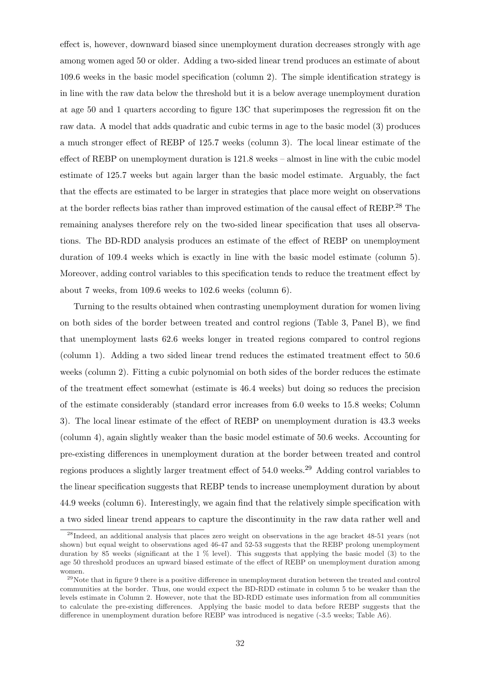effect is, however, downward biased since unemployment duration decreases strongly with age among women aged 50 or older. Adding a two-sided linear trend produces an estimate of about 109.6 weeks in the basic model specification (column 2). The simple identification strategy is in line with the raw data below the threshold but it is a below average unemployment duration at age 50 and 1 quarters according to figure 13C that superimposes the regression fit on the raw data. A model that adds quadratic and cubic terms in age to the basic model (3) produces a much stronger effect of REBP of 125.7 weeks (column 3). The local linear estimate of the effect of REBP on unemployment duration is 121.8 weeks – almost in line with the cubic model estimate of 125.7 weeks but again larger than the basic model estimate. Arguably, the fact that the effects are estimated to be larger in strategies that place more weight on observations at the border reflects bias rather than improved estimation of the causal effect of REBP.<sup>28</sup> The remaining analyses therefore rely on the two-sided linear specification that uses all observations. The BD-RDD analysis produces an estimate of the effect of REBP on unemployment duration of 109.4 weeks which is exactly in line with the basic model estimate (column 5). Moreover, adding control variables to this specification tends to reduce the treatment effect by about 7 weeks, from 109.6 weeks to 102.6 weeks (column 6).

Turning to the results obtained when contrasting unemployment duration for women living on both sides of the border between treated and control regions (Table 3, Panel B), we find that unemployment lasts 62.6 weeks longer in treated regions compared to control regions (column 1). Adding a two sided linear trend reduces the estimated treatment effect to 50.6 weeks (column 2). Fitting a cubic polynomial on both sides of the border reduces the estimate of the treatment effect somewhat (estimate is 46.4 weeks) but doing so reduces the precision of the estimate considerably (standard error increases from 6.0 weeks to 15.8 weeks; Column 3). The local linear estimate of the effect of REBP on unemployment duration is 43.3 weeks (column 4), again slightly weaker than the basic model estimate of 50.6 weeks. Accounting for pre-existing differences in unemployment duration at the border between treated and control regions produces a slightly larger treatment effect of 54.0 weeks.<sup>29</sup> Adding control variables to the linear specification suggests that REBP tends to increase unemployment duration by about 44.9 weeks (column 6). Interestingly, we again find that the relatively simple specification with a two sided linear trend appears to capture the discontinuity in the raw data rather well and

<sup>&</sup>lt;sup>28</sup>Indeed, an additional analysis that places zero weight on observations in the age bracket 48-51 years (not shown) but equal weight to observations aged 46-47 and 52-53 suggests that the REBP prolong unemployment duration by 85 weeks (significant at the 1 % level). This suggests that applying the basic model (3) to the age 50 threshold produces an upward biased estimate of the effect of REBP on unemployment duration among women.

 $^{29}$ Note that in figure 9 there is a positive difference in unemployment duration between the treated and control communities at the border. Thus, one would expect the BD-RDD estimate in column 5 to be weaker than the levels estimate in Column 2. However, note that the BD-RDD estimate uses information from all communities to calculate the pre-existing differences. Applying the basic model to data before REBP suggests that the difference in unemployment duration before REBP was introduced is negative (-3.5 weeks; Table A6).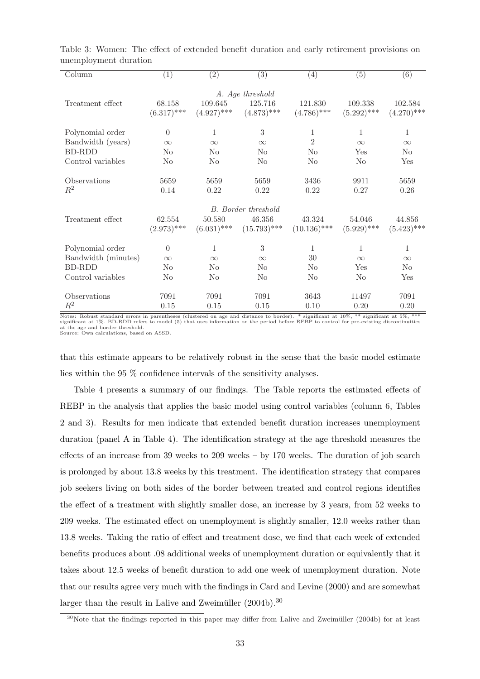| Column              | (1)            | $\left( 2\right)$ | $\overline{(3)}$           | (4)            | (5)            | (6)            |
|---------------------|----------------|-------------------|----------------------------|----------------|----------------|----------------|
|                     |                |                   | A. Age threshold           |                |                |                |
| Treatment effect    | 68.158         | 109.645           | 125.716                    | 121.830        | 109.338        | 102.584        |
|                     | $(6.317)$ ***  | $(4.927)$ ***     | $(4.873)$ ***              | $(4.786)$ ***  | $(5.292)$ ***  | $(4.270)$ ***  |
| Polynomial order    | $\Omega$       | 1                 | $\sqrt{3}$                 | 1              | 1              | 1              |
| Bandwidth (years)   | $\infty$       | $\infty$          | $\infty$                   | $\overline{2}$ | $\infty$       | $\infty$       |
| BD-RDD              | N <sub>o</sub> | $\rm No$          | $\rm No$                   | $\rm No$       | Yes            | N <sub>0</sub> |
| Control variables   | N <sub>o</sub> | No                | N <sub>o</sub>             | N <sub>o</sub> | N <sub>o</sub> | Yes            |
| Observations        | 5659           | 5659              | 5659                       | 3436           | 9911           | 5659           |
| $R^2$               | 0.14           | 0.22              | 0.22                       | 0.22           | 0.27           | $0.26\,$       |
|                     |                |                   | <b>B.</b> Border threshold |                |                |                |
| Treatment effect    | 62.554         | 50.580            | 46.356                     | 43.324         | 54.046         | 44.856         |
|                     | $(2.973)$ ***  | $(6.031)$ ***     | $(15.793)$ ***             | $(10.136)$ *** | $(5.929)$ ***  | $(5.423)$ ***  |
| Polynomial order    | $\Omega$       | 1                 | 3                          | 1              | 1              | 1              |
| Bandwidth (minutes) | $\infty$       | $\infty$          | $\infty$                   | 30             | $\infty$       | $\infty$       |
| <b>BD-RDD</b>       | $\rm No$       | $\rm No$          | $\rm No$                   | $\rm No$       | Yes            | $\rm No$       |
| Control variables   | N <sub>o</sub> | $\rm No$          | No                         | No             | N <sub>o</sub> | Yes            |
| Observations        | 7091           | 7091              | 7091                       | 3643           | 11497          | 7091           |
| $R^2$               | 0.15           | 0.15              | 0.15                       | 0.10           | 0.20           | 0.20           |

Table 3: Women: The effect of extended benefit duration and early retirement provisions on unemployment duration

Notes: Robust standard errors in parentheses (clustered on age and distance to border). \* significant at 10%, \*\* significant at 5%, \*\*\*<br>significant at 1%. BD-RDD refers to model (5) that uses information on the period befo at the age and border threshold. Source: Own calculations, based on ASSD.

that this estimate appears to be relatively robust in the sense that the basic model estimate lies within the 95 % confidence intervals of the sensitivity analyses.

Table 4 presents a summary of our findings. The Table reports the estimated effects of REBP in the analysis that applies the basic model using control variables (column 6, Tables 2 and 3). Results for men indicate that extended benefit duration increases unemployment duration (panel A in Table 4). The identification strategy at the age threshold measures the effects of an increase from 39 weeks to 209 weeks – by 170 weeks. The duration of job search is prolonged by about 13.8 weeks by this treatment. The identification strategy that compares job seekers living on both sides of the border between treated and control regions identifies the effect of a treatment with slightly smaller dose, an increase by 3 years, from 52 weeks to 209 weeks. The estimated effect on unemployment is slightly smaller, 12.0 weeks rather than 13.8 weeks. Taking the ratio of effect and treatment dose, we find that each week of extended benefits produces about .08 additional weeks of unemployment duration or equivalently that it takes about 12.5 weeks of benefit duration to add one week of unemployment duration. Note that our results agree very much with the findings in Card and Levine (2000) and are somewhat larger than the result in Lalive and Zweimüller  $(2004b).^{30}$ 

 $30$ Note that the findings reported in this paper may differ from Lalive and Zweimüller (2004b) for at least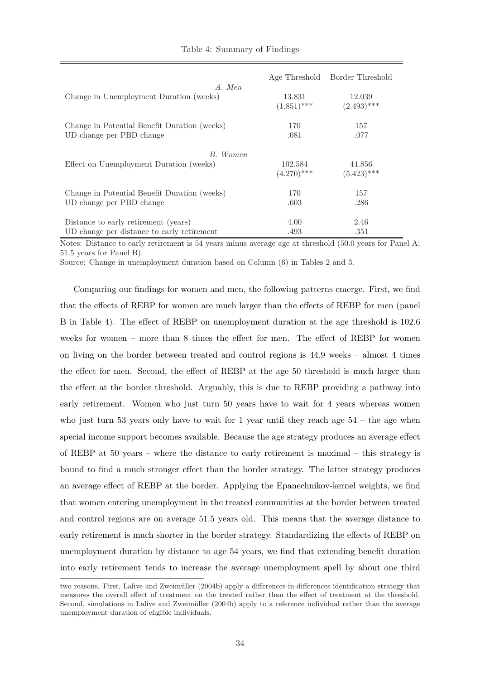|                                                                          |                          | Age Threshold Border Threshold |
|--------------------------------------------------------------------------|--------------------------|--------------------------------|
| A. Men<br>Change in Unemployment Duration (weeks)                        | 13.831<br>$(1.851)$ ***  | 12.039<br>$(2.493)$ ***        |
| Change in Potential Benefit Duration (weeks)<br>UD change per PBD change | 170<br>.081              | 157<br>.077                    |
| B. Women                                                                 |                          |                                |
| Effect on Unemployment Duration (weeks)                                  | 102.584<br>$(4.270)$ *** | 44.856<br>$(5.423)$ ***        |
| Change in Potential Benefit Duration (weeks)                             | 170                      | 157                            |
| UD change per PBD change                                                 | .603                     | .286                           |
| Distance to early retirement (years)                                     | 4.00                     | 2.46                           |
| UD change per distance to early retirement                               | .493                     | .351                           |

#### Table 4: Summary of Findings

Notes: Distance to early retirement is 54 years minus average age at threshold (50.0 years for Panel A; 51.5 years for Panel B).

Source: Change in unemployment duration based on Column (6) in Tables 2 and 3.

Comparing our findings for women and men, the following patterns emerge. First, we find that the effects of REBP for women are much larger than the effects of REBP for men (panel B in Table 4). The effect of REBP on unemployment duration at the age threshold is 102.6 weeks for women – more than 8 times the effect for men. The effect of REBP for women on living on the border between treated and control regions is 44.9 weeks – almost 4 times the effect for men. Second, the effect of REBP at the age 50 threshold is much larger than the effect at the border threshold. Arguably, this is due to REBP providing a pathway into early retirement. Women who just turn 50 years have to wait for 4 years whereas women who just turn 53 years only have to wait for 1 year until they reach age  $54$  – the age when special income support becomes available. Because the age strategy produces an average effect of REBP at 50 years – where the distance to early retirement is maximal – this strategy is bound to find a much stronger effect than the border strategy. The latter strategy produces an average effect of REBP at the border. Applying the Epanechnikov-kernel weights, we find that women entering unemployment in the treated communities at the border between treated and control regions are on average 51.5 years old. This means that the average distance to early retirement is much shorter in the border strategy. Standardizing the effects of REBP on unemployment duration by distance to age 54 years, we find that extending benefit duration into early retirement tends to increase the average unemployment spell by about one third

two reasons. First, Lalive and Zweimüller (2004b) apply a differences-in-differences identification strategy that measures the overall effect of treatment on the treated rather than the effect of treatment at the threshold. Second, simulations in Lalive and Zweimüller (2004b) apply to a reference individual rather than the average unemployment duration of eligible individuals.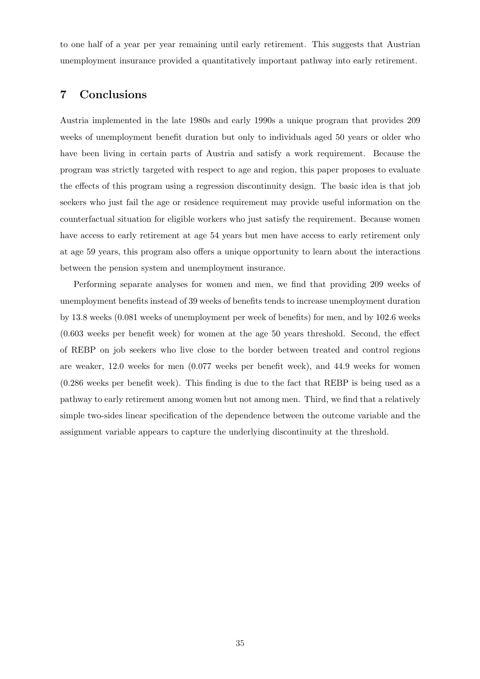to one half of a year per year remaining until early retirement. This suggests that Austrian unemployment insurance provided a quantitatively important pathway into early retirement.

## 7 Conclusions

Austria implemented in the late 1980s and early 1990s a unique program that provides 209 weeks of unemployment benefit duration but only to individuals aged 50 years or older who have been living in certain parts of Austria and satisfy a work requirement. Because the program was strictly targeted with respect to age and region, this paper proposes to evaluate the effects of this program using a regression discontinuity design. The basic idea is that job seekers who just fail the age or residence requirement may provide useful information on the counterfactual situation for eligible workers who just satisfy the requirement. Because women have access to early retirement at age 54 years but men have access to early retirement only at age 59 years, this program also offers a unique opportunity to learn about the interactions between the pension system and unemployment insurance.

Performing separate analyses for women and men, we find that providing 209 weeks of unemployment benefits instead of 39 weeks of benefits tends to increase unemployment duration by 13.8 weeks (0.081 weeks of unemployment per week of benefits) for men, and by 102.6 weeks (0.603 weeks per benefit week) for women at the age 50 years threshold. Second, the effect of REBP on job seekers who live close to the border between treated and control regions are weaker, 12.0 weeks for men (0.077 weeks per benefit week), and 44.9 weeks for women (0.286 weeks per benefit week). This finding is due to the fact that REBP is being used as a pathway to early retirement among women but not among men. Third, we find that a relatively simple two-sides linear specification of the dependence between the outcome variable and the assignment variable appears to capture the underlying discontinuity at the threshold.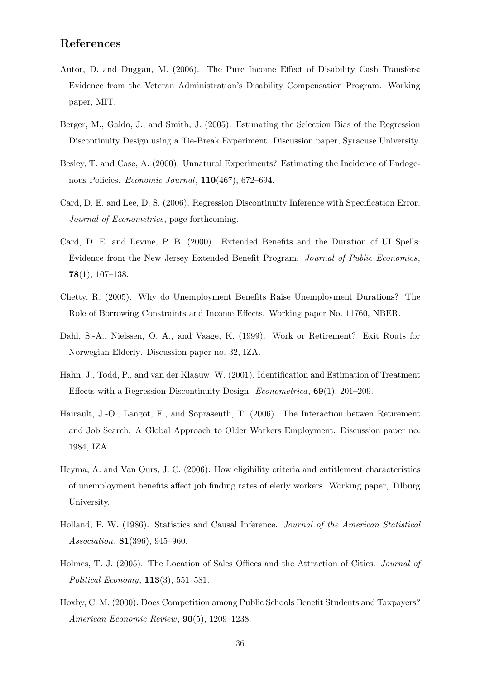## References

- Autor, D. and Duggan, M. (2006). The Pure Income Effect of Disability Cash Transfers: Evidence from the Veteran Administration's Disability Compensation Program. Working paper, MIT.
- Berger, M., Galdo, J., and Smith, J. (2005). Estimating the Selection Bias of the Regression Discontinuity Design using a Tie-Break Experiment. Discussion paper, Syracuse University.
- Besley, T. and Case, A. (2000). Unnatural Experiments? Estimating the Incidence of Endogenous Policies. Economic Journal, 110(467), 672-694.
- Card, D. E. and Lee, D. S. (2006). Regression Discontinuity Inference with Specification Error. Journal of Econometrics, page forthcoming.
- Card, D. E. and Levine, P. B. (2000). Extended Benefits and the Duration of UI Spells: Evidence from the New Jersey Extended Benefit Program. Journal of Public Economics,  $78(1), 107-138.$
- Chetty, R. (2005). Why do Unemployment Benefits Raise Unemployment Durations? The Role of Borrowing Constraints and Income Effects. Working paper No. 11760, NBER.
- Dahl, S.-A., Nielssen, O. A., and Vaage, K. (1999). Work or Retirement? Exit Routs for Norwegian Elderly. Discussion paper no. 32, IZA.
- Hahn, J., Todd, P., and van der Klaauw, W. (2001). Identification and Estimation of Treatment Effects with a Regression-Discontinuity Design. *Econometrica*,  $69(1)$ , 201–209.
- Hairault, J.-O., Langot, F., and Sopraseuth, T. (2006). The Interaction betwen Retirement and Job Search: A Global Approach to Older Workers Employment. Discussion paper no. 1984, IZA.
- Heyma, A. and Van Ours, J. C. (2006). How eligibility criteria and entitlement characteristics of unemployment benefits affect job finding rates of elerly workers. Working paper, Tilburg University.
- Holland, P. W. (1986). Statistics and Causal Inference. Journal of the American Statistical Association, 81(396), 945–960.
- Holmes, T. J. (2005). The Location of Sales Offices and the Attraction of Cities. Journal of Political Economy, 113(3), 551–581.
- Hoxby, C. M. (2000). Does Competition among Public Schools Benefit Students and Taxpayers? American Economic Review, 90(5), 1209–1238.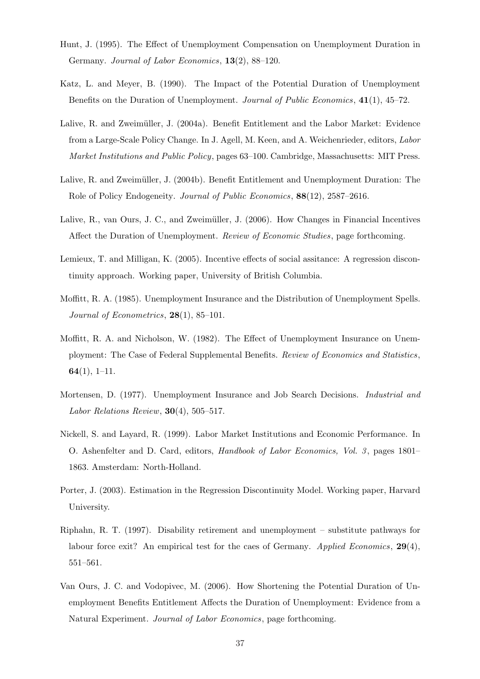- Hunt, J. (1995). The Effect of Unemployment Compensation on Unemployment Duration in Germany. Journal of Labor Economics, 13(2), 88–120.
- Katz, L. and Meyer, B. (1990). The Impact of the Potential Duration of Unemployment Benefits on the Duration of Unemployment. Journal of Public Economics, 41(1), 45–72.
- Lalive, R. and Zweimüller, J. (2004a). Benefit Entitlement and the Labor Market: Evidence from a Large-Scale Policy Change. In J. Agell, M. Keen, and A. Weichenrieder, editors, Labor Market Institutions and Public Policy, pages 63–100. Cambridge, Massachusetts: MIT Press.
- Lalive, R. and Zweimüller, J. (2004b). Benefit Entitlement and Unemployment Duration: The Role of Policy Endogeneity. *Journal of Public Economics*, **88**(12), 2587–2616.
- Lalive, R., van Ours, J. C., and Zweimüller, J. (2006). How Changes in Financial Incentives Affect the Duration of Unemployment. Review of Economic Studies, page forthcoming.
- Lemieux, T. and Milligan, K. (2005). Incentive effects of social assitance: A regression discontinuity approach. Working paper, University of British Columbia.
- Moffitt, R. A. (1985). Unemployment Insurance and the Distribution of Unemployment Spells. Journal of Econometrics,  $28(1)$ , 85-101.
- Moffitt, R. A. and Nicholson, W. (1982). The Effect of Unemployment Insurance on Unemployment: The Case of Federal Supplemental Benefits. Review of Economics and Statistics,  $64(1), 1-11.$
- Mortensen, D. (1977). Unemployment Insurance and Job Search Decisions. Industrial and Labor Relations Review,  $30(4)$ , 505–517.
- Nickell, S. and Layard, R. (1999). Labor Market Institutions and Economic Performance. In O. Ashenfelter and D. Card, editors, *Handbook of Labor Economics*, *Vol. 3*, pages 1801– 1863. Amsterdam: North-Holland.
- Porter, J. (2003). Estimation in the Regression Discontinuity Model. Working paper, Harvard University.
- Riphahn, R. T. (1997). Disability retirement and unemployment substitute pathways for labour force exit? An empirical test for the caes of Germany. Applied Economics,  $29(4)$ , 551–561.
- Van Ours, J. C. and Vodopivec, M. (2006). How Shortening the Potential Duration of Unemployment Benefits Entitlement Affects the Duration of Unemployment: Evidence from a Natural Experiment. Journal of Labor Economics, page forthcoming.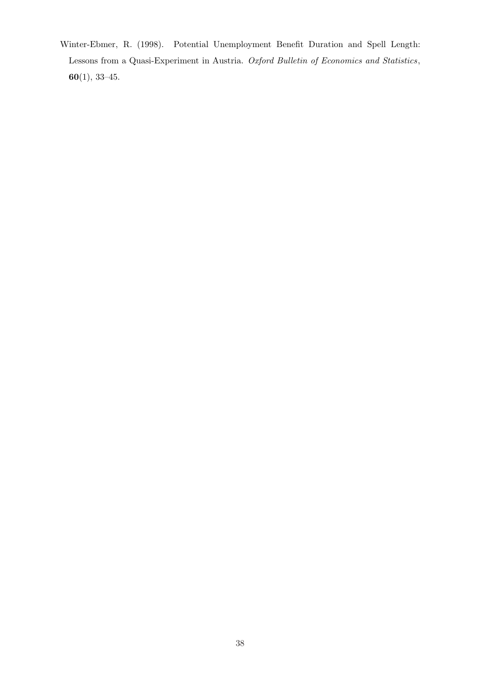Winter-Ebmer, R. (1998). Potential Unemployment Benefit Duration and Spell Length: Lessons from a Quasi-Experiment in Austria. Oxford Bulletin of Economics and Statistics, 60(1), 33–45.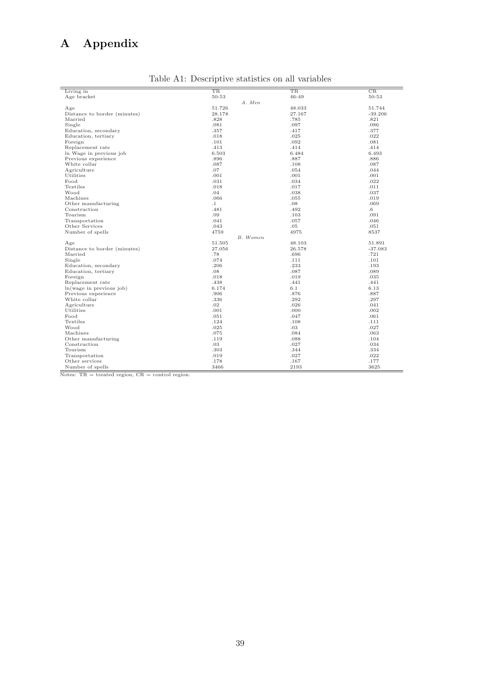## A Appendix

| Living in                    | TR        | TR     | CR              |
|------------------------------|-----------|--------|-----------------|
| Age bracket                  | 50-53     | 46-49  | 50-53           |
|                              | A. Men    |        |                 |
| Age                          | 51.726    | 48.033 | 51.744          |
| Distance to border (minutes) | 28.178    | 27.167 | $-39.206$       |
| Married                      | .828      | .785   | .821            |
| Single                       | .081      | .097   | .086            |
| Education, secondary         | .357      | .417   | .377            |
| Education, tertiary          | .018      | .025   | .022            |
| Foreign                      | .101      | .092   | .081            |
|                              | .413      | .414   | .414            |
| Replacement rate             | 6.503     | 6.484  | 6.493           |
| In Wage in previous job      |           |        |                 |
| Previous experience          | .896      | .887   | .886            |
| White collar                 | .087      | .108   | .087            |
| Agriculture                  | .07       | .054   | .044            |
| Utilities                    | .001      | .001   | .001            |
| Food                         | .031      | .034   | .022            |
| Textiles                     | .018      | .017   | .011            |
| Wood                         | .04       | .038   | .037            |
| Machines                     | .066      | .055   | .019            |
| Other manufacturing          | $\cdot$ 1 | .08    | .069            |
| Construction                 | .481      | .492   | $.6\phantom{0}$ |
| Tourism                      | .09       | .103   | .091            |
| Transportation               | .041      | .057   | .046            |
| Other Services               | .043      | .05    | .051            |
| Number of spells             | 4759      | 4975   | 8537            |
|                              | B. Women  |        |                 |
| Age                          | 51.505    | 48.103 | 51.891          |
| Distance to border (minutes) | 27.056    | 26.578 | $-37.083$       |
| Married                      | .78       | .696   | .721            |
| Single                       | .074      | .111   | .101            |
| Education, secondary         | .206      | .233   | .193            |
| Education, tertiary          | .08       | .087   | .089            |
| Foreign                      | .018      | .019   | .035            |
| Replacement rate             | .438      | .441   | .441            |
| ln(wage in previous job)     | 6.174     | 6.1    | 6.13            |
| Previous experience          | .906      | .876   | .887            |
| White collar                 | .336      | .292   | .297            |
| Agriculture                  | .02       | .026   | .041            |
| Utilities                    | .001      | .000   | .002            |
| Food                         | .051      | .047   | .061            |
| Textiles                     | .124      | .108   | .111            |
| Wood                         |           |        |                 |
|                              | .025      | .03    | .027            |
| Machines                     | .075      | .084   | .063            |
| Other manufacturing          | .119      | .088   | .104            |
| Construction                 | $.03\,$   | .027   | .034            |
| Tourism                      | .303      | .344   | .334            |
| Transportation               | .019      | .027   | .022            |
| Other services               | .178      | .167   | .177            |
| Number of spells             | 3466      | 2193   | 3625            |

Table A1: Descriptive statistics on all variables

 $\frac{1}{\text{Notes: TR} = \text{treated region, CR} = \text{control region}}$ .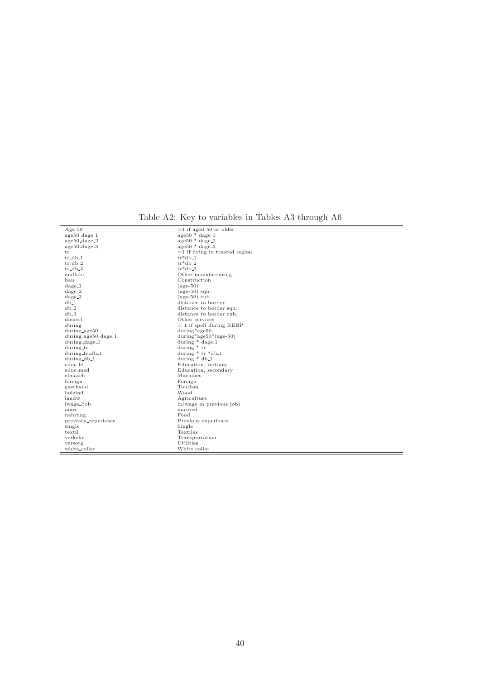Table A2: Key to variables in Tables A3 through A6

| Age $50$               | $=1$ if aged 50 or older           |
|------------------------|------------------------------------|
| age50_dage_1           | $age50 * dage1$                    |
| age50_dage_2           | $age50 * dage2$                    |
| age50_dage_3           | $age50 * dage.3$                   |
| tr                     | $=1$ if living in treated region   |
| $tr_d$ b <sub>-1</sub> | $tr*db_1$                          |
| $tr_db_2$              | $tr*db_2$                          |
| $tr_d b_3$             | $tr*db_3$                          |
| andfabr                | Other manufacturing                |
| bau                    | Construction                       |
| $dage_1$               | $(\text{age-}50)$                  |
| $dage_2$               | $(\text{age-}50)$ squ.             |
| $dage_3$               | $(age-50)$ cub.                    |
| $db_1$                 | distance to border                 |
| $db_2$                 | distance to border squ.            |
| $db_3$                 | distance to border cub.            |
| dienstl                | Other services                     |
| during                 | $= 1$ if spell during REBP         |
| during_age50           | during*age50                       |
| during_age50_dage_1    | during*age $50*(age-50)$           |
| during_dage_1          | during $*$ dage:1                  |
| during_tr              | during $*$ tr                      |
| during_tr_db_1         | during $*$ tr $*$ db <sub>-1</sub> |
| during_db_1            | during $*$ db <sub>-1</sub>        |
| educ_hi                | Education, tertiary                |
| educ_med               | Education, secondary               |
| elmasch                | Machines                           |
| foreign                | Foreign                            |
| gasthand               | Tourism                            |
| holzind                | Wood                               |
| landw                  | Agriculture                        |
| lwage_ljob             | ln(wage in previous job)           |
| marr                   | married                            |
| nahrung                | Food                               |
| previous_experience    | Previous experience                |
| single                 | Single                             |
| textil                 | Textiles                           |
| verkehr                | Transportation                     |
| versorg                | Utilities                          |
| white_collar           | White collar                       |
|                        |                                    |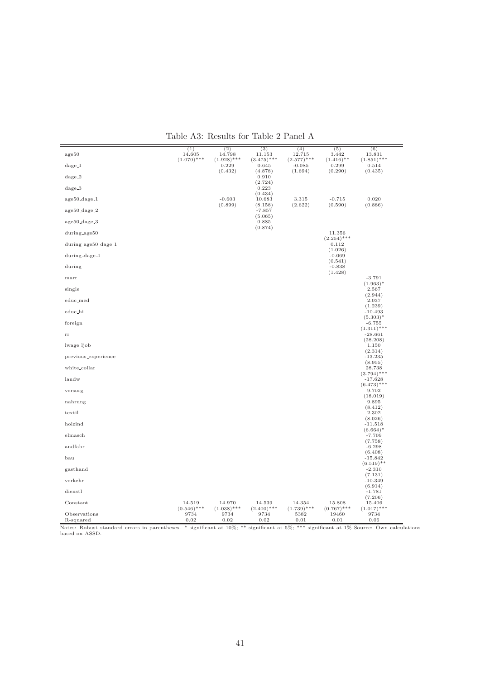|--|

| age50                            | (1)<br>14.605         | (2)<br>14.798          | (3)<br>11.153          | (4)<br>12.715             | (5)<br>3.442           | (6)<br>13.831              |
|----------------------------------|-----------------------|------------------------|------------------------|---------------------------|------------------------|----------------------------|
| $dage_1$                         | $(1.070)$ ***         | $(1.928)$ ***<br>0.229 | $(3.475)$ ***<br>0.645 | $(2.577)$ ***<br>$-0.085$ | $(1.416)$ **<br>0.299  | $(1.851)$ ***<br>0.514     |
| $dage_2$                         |                       | (0.432)                | (4.878)<br>0.910       | (1.694)                   | (0.290)                | (0.435)                    |
| $dage_3$                         |                       |                        | (2.724)<br>0.223       |                           |                        |                            |
| age50_dage_1                     |                       | $-0.603$               | (0.434)<br>10.683      | 3.315                     | $-0.715$               | 0.020                      |
| $age50 \text{.} dage \text{.} 2$ |                       | (0.899)                | (8.158)<br>$-7.857$    | (2.622)                   | (0.590)                | (0.886)                    |
| $age50 \text{.} dage.3$          |                       |                        | (5.065)<br>0.885       |                           |                        |                            |
| during_age50                     |                       |                        | (0.874)                |                           | 11.356                 |                            |
|                                  |                       |                        |                        |                           | $(2.254)$ ***          |                            |
| during_age50_dage_1              |                       |                        |                        |                           | 0.112<br>(1.026)       |                            |
| during_dage_1                    |                       |                        |                        |                           | $-0.069$<br>(0.541)    |                            |
| during                           |                       |                        |                        |                           | $-0.838$<br>(1.428)    |                            |
| marr                             |                       |                        |                        |                           |                        | $-3.791$<br>$(1.963)^*$    |
| single                           |                       |                        |                        |                           |                        | 2.567<br>(2.944)           |
| educ_med                         |                       |                        |                        |                           |                        | 2.037<br>(1.239)           |
| educ_hi                          |                       |                        |                        |                           |                        | $-10.493$<br>$(5.303)^*$   |
| foreign                          |                       |                        |                        |                           |                        | $-6.755$<br>$(1.311)$ ***  |
| $_{\rm rr}$                      |                       |                        |                        |                           |                        | $-28.661$<br>(28.208)      |
| lwage_ljob                       |                       |                        |                        |                           |                        | 1.150<br>(2.314)           |
| previous_experience              |                       |                        |                        |                           |                        | $-13.235$                  |
| white_collar                     |                       |                        |                        |                           |                        | (8.955)<br>28.738          |
| landw                            |                       |                        |                        |                           |                        | $(3.794)$ ***<br>$-17.628$ |
| versorg                          |                       |                        |                        |                           |                        | $(6.473)$ ***<br>9.702     |
| nahrung                          |                       |                        |                        |                           |                        | (18.019)<br>9.895          |
| textil                           |                       |                        |                        |                           |                        | (8.412)<br>2.302           |
| holzind                          |                       |                        |                        |                           |                        | (8.026)<br>$-11.518$       |
| elmasch                          |                       |                        |                        |                           |                        | $(6.664)^*$<br>$-7.709$    |
| andfabr                          |                       |                        |                        |                           |                        | (7.758)<br>$-6.298$        |
| bau                              |                       |                        |                        |                           |                        | (6.408)<br>$-15.842$       |
| gasthand                         |                       |                        |                        |                           |                        | $(6.519)$ **<br>$-2.310$   |
| verkehr                          |                       |                        |                        |                           |                        | (7.131)<br>$-10.349$       |
| dienstl                          |                       |                        |                        |                           |                        | (6.914)<br>$-1.781$        |
| Constant                         | 14.519                | 14.970                 | 14.539                 | 14.354                    | 15.808                 | (7.206)<br>15.406          |
| Observations                     | $(0.546)$ ***<br>9734 | $(1.038)$ ***<br>9734  | $(2.400)$ ***<br>9734  | $(1.739)$ ***<br>5382     | $(0.767)$ ***<br>19460 | $(1.017)$ ***<br>9734      |
| R-squared                        | 0.02                  | 0.02                   | 0.02                   | 0.01                      | 0.01                   | 0.06                       |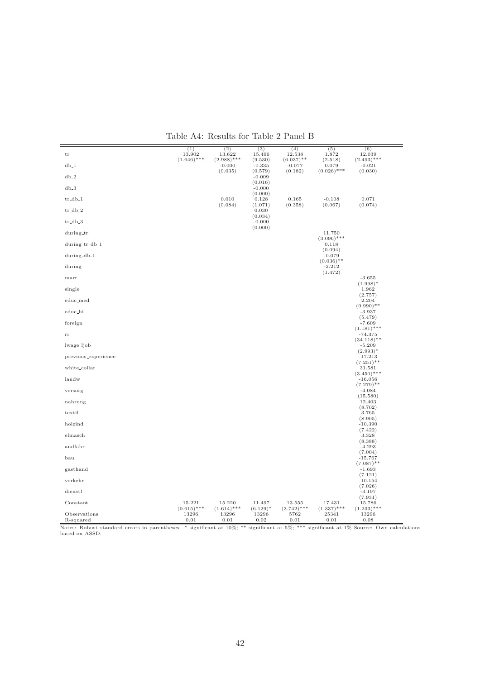| ${\rm tr}$                | (1)<br>13.902           | (2)<br>13.622             | (3)<br>15.496         | (4)<br>12.538            | (5)<br>1.872             | (6)<br>12.039              |
|---------------------------|-------------------------|---------------------------|-----------------------|--------------------------|--------------------------|----------------------------|
| $db_1$                    | $(1.646)$ ***           | $(2.988)$ ***<br>$-0.000$ | (9.530)<br>$-0.335$   | $(6.037)$ **<br>$-0.077$ | (2.518)<br>0.079         | $(2.493)$ ***<br>$-0.021$  |
| $db_2$                    |                         | (0.035)                   | (0.579)<br>$-0.009$   | (0.182)                  | $(0.026)$ ***            | (0.030)                    |
|                           |                         |                           | (0.016)               |                          |                          |                            |
| $db_3$                    |                         |                           | $-0.000$<br>(0.000)   |                          |                          |                            |
| $tr_dbb-1$                |                         | 0.010<br>(0.084)          | 0.128<br>(1.071)      | 0.165<br>(0.358)         | $-0.108$<br>(0.067)      | 0.071<br>(0.074)           |
| $tr_db_2$                 |                         |                           | 0.030<br>(0.034)      |                          |                          |                            |
| $tr_db_3$                 |                         |                           | $-0.000$<br>(0.000)   |                          |                          |                            |
| during_tr                 |                         |                           |                       |                          | 11.750<br>$(3.096)$ ***  |                            |
| during_tr_db_1            |                         |                           |                       |                          | 0.118<br>(0.094)         |                            |
| during_db_1               |                         |                           |                       |                          | $-0.079$<br>$(0.036)$ ** |                            |
| during                    |                         |                           |                       |                          | $-2.212$<br>(1.472)      |                            |
| marr                      |                         |                           |                       |                          |                          | $-3.655$                   |
| single                    |                         |                           |                       |                          |                          | $(1.998)^*$<br>1.962       |
| educ_med                  |                         |                           |                       |                          |                          | (2.757)<br>2.204           |
| educ_hi                   |                         |                           |                       |                          |                          | $(0.990)$ **<br>$-3.937$   |
| foreign                   |                         |                           |                       |                          |                          | (5.479)<br>$-7.609$        |
| $_{\rm rr}$               |                         |                           |                       |                          |                          | $(1.181)$ ***<br>$-74.375$ |
| lwage_ljob                |                         |                           |                       |                          |                          | $(34.118)$ **<br>$-5.209$  |
| previous_experience       |                         |                           |                       |                          |                          | $(2.993)^*$<br>$-17.213$   |
| white_collar              |                         |                           |                       |                          |                          | $(7.251)$ **<br>31.581     |
| landw                     |                         |                           |                       |                          |                          | $(3.450)$ ***<br>$-16.056$ |
| versorg                   |                         |                           |                       |                          |                          | $(7.279)$ **<br>$-4.084$   |
| nahrung                   |                         |                           |                       |                          |                          | (15.580)<br>12.403         |
| textil                    |                         |                           |                       |                          |                          | (8.702)<br>3.765           |
| holzind                   |                         |                           |                       |                          |                          | (8.905)<br>$-10.390$       |
| elmasch                   |                         |                           |                       |                          |                          | (7.422)<br>3.328           |
|                           |                         |                           |                       |                          |                          | (8.388)                    |
| andfabr                   |                         |                           |                       |                          |                          | $-4.293$<br>(7.004)        |
| bau                       |                         |                           |                       |                          |                          | $-15.767$<br>$(7.087)$ **  |
| gasthand                  |                         |                           |                       |                          |                          | $-1.693$<br>(7.121)        |
| verkehr                   |                         |                           |                       |                          |                          | $-10.154$<br>(7.026)       |
| dienstl                   |                         |                           |                       |                          |                          | $-3.197$<br>(7.931)        |
| Constant                  | 15.221<br>$(0.615)$ *** | 15.220<br>$(1.614)$ ***   | 11.497<br>$(6.129)^*$ | 13.555<br>$(3.742)$ ***  | 17.431<br>$(1.337)$ ***  | 15.786<br>$(1.233)$ ***    |
| Observations<br>R-squared | 13296<br>0.01           | 13296<br>0.01             | 13296<br>0.02         | 5762<br>0.01             | 25341<br>0.01            | 13296<br>0.08              |

Table A4: Results for Table 2 Panel B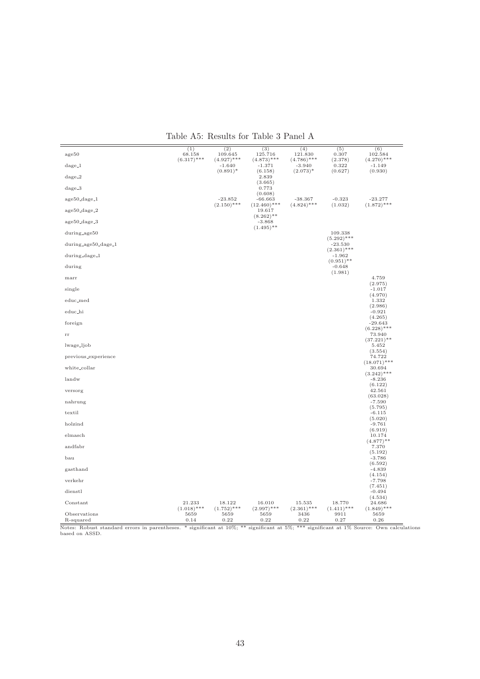| Table A5: Results for Table 3 Panel A |  |  |  |  |  |  |
|---------------------------------------|--|--|--|--|--|--|
|---------------------------------------|--|--|--|--|--|--|

|                           | (1)                           | (2)                           | (3)                           | (4)                           | (5)                                       | (6)                                 |
|---------------------------|-------------------------------|-------------------------------|-------------------------------|-------------------------------|-------------------------------------------|-------------------------------------|
| age50                     | 68.158<br>$(6.317)$ ***       | 109.645<br>$(4.927)$ ***      | 125.716<br>$(4.873)$ ***      | 121.830<br>$(4.786)$ ***      | 0.307<br>(2.378)                          | 102.584<br>$(4.270)$ ***            |
| $dage_1$                  |                               | $-1.640$<br>$(0.891)^*$       | $-1.371$<br>(6.158)           | $-3.940$<br>$(2.073)*$        | 0.322<br>(0.627)                          | $-1.149$<br>(0.930)                 |
| $dage_2$                  |                               |                               | 2.839<br>(3.665)              |                               |                                           |                                     |
| $dage_3$                  |                               |                               | 0.773<br>(0.608)              |                               |                                           |                                     |
| age50_dage_1              |                               | $-23.852$<br>$(2.150)$ ***    | $-66.663$<br>$(12.460)$ ***   | $-38.367$<br>$(4.824)$ ***    | $-0.323$<br>(1.032)                       | $-23.277$<br>$(1.872)$ ***          |
| age50_dage_2              |                               |                               | 19.617<br>$(8.262)$ **        |                               |                                           |                                     |
| age50_dage_3              |                               |                               | $-3.868$<br>$(1.495)$ **      |                               |                                           |                                     |
| during_age50              |                               |                               |                               |                               | 109.338<br>$(5.292)$ ***                  |                                     |
| $during_aige50_dage_1$    |                               |                               |                               |                               | $-23.530$                                 |                                     |
| during_dage_1             |                               |                               |                               |                               | $(2.361)$ ***<br>$-1.962$<br>$(0.951)$ ** |                                     |
| during                    |                               |                               |                               |                               | $-0.648$<br>(1.981)                       |                                     |
| marr                      |                               |                               |                               |                               |                                           | 4.759<br>(2.975)                    |
| single                    |                               |                               |                               |                               |                                           | $-1.017$<br>(4.970)                 |
| educ_med                  |                               |                               |                               |                               |                                           | 1.332<br>(2.986)                    |
| educ_hi                   |                               |                               |                               |                               |                                           | $-0.921$<br>(4.265)                 |
| foreign                   |                               |                               |                               |                               |                                           | $-29.643$<br>$(6.228)$ ***          |
| $_{\rm rr}$               |                               |                               |                               |                               |                                           | 73.940<br>$(37.221)$ **             |
| lwage_ljob                |                               |                               |                               |                               |                                           | 5.452                               |
| previous_experience       |                               |                               |                               |                               |                                           | (3.554)<br>74.722<br>$(18.071)$ *** |
| white_collar              |                               |                               |                               |                               |                                           | 30.694<br>$(3.242)$ ***             |
| landw                     |                               |                               |                               |                               |                                           | $-8.236$                            |
| versorg                   |                               |                               |                               |                               |                                           | (6.122)<br>42.561<br>(63.028)       |
| nahrung                   |                               |                               |                               |                               |                                           | $-7.590$                            |
| textil                    |                               |                               |                               |                               |                                           | (5.795)<br>$-6.115$                 |
| holzind                   |                               |                               |                               |                               |                                           | (5.020)<br>$-9.761$                 |
| elmasch                   |                               |                               |                               |                               |                                           | (6.919)<br>10.174                   |
| andfabr                   |                               |                               |                               |                               |                                           | $(4.877)$ **<br>7.370               |
| bau                       |                               |                               |                               |                               |                                           | (5.192)<br>$-3.786$                 |
| gasthand                  |                               |                               |                               |                               |                                           | (6.592)<br>$-4.839$                 |
| verkehr                   |                               |                               |                               |                               |                                           | (4.154)<br>$-7.798$                 |
| dienstl                   |                               |                               |                               |                               |                                           | (7.451)<br>$-0.494$                 |
| Constant                  | 21.233                        | 18.122                        | 16.010                        | 15.535                        | 18.770                                    | (4.534)<br>24.686                   |
| Observations<br>R-squared | $(1.018)$ ***<br>5659<br>0.14 | $(1.752)$ ***<br>5659<br>0.22 | $(2.997)$ ***<br>5659<br>0.22 | $(2.361)$ ***<br>3436<br>0.22 | $(1.411)$ ***<br>9911<br>0.27             | $(1.849)$ ***<br>5659<br>0.26       |